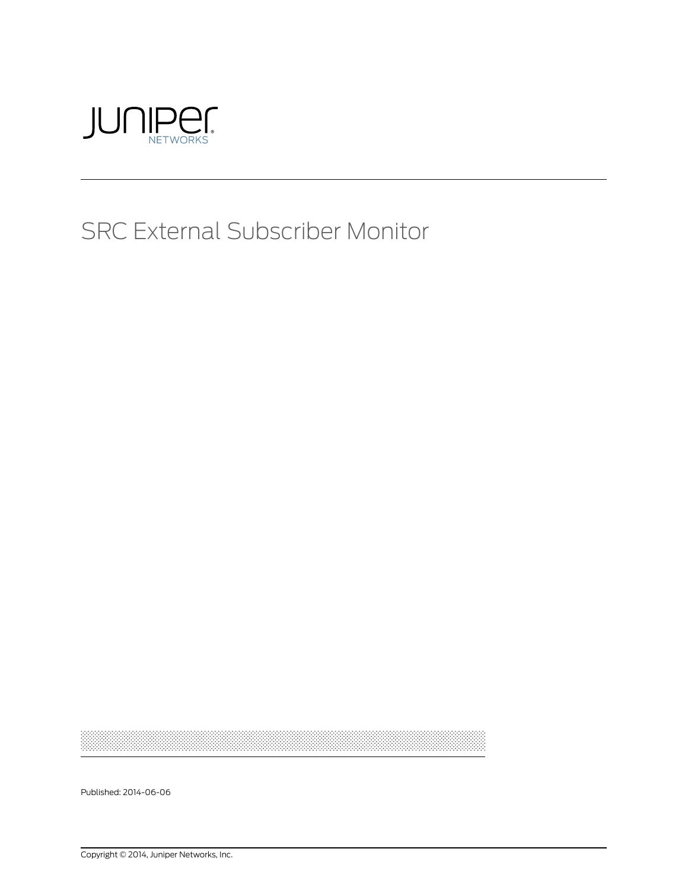

# SRC External Subscriber Monitor

Published: 2014-06-06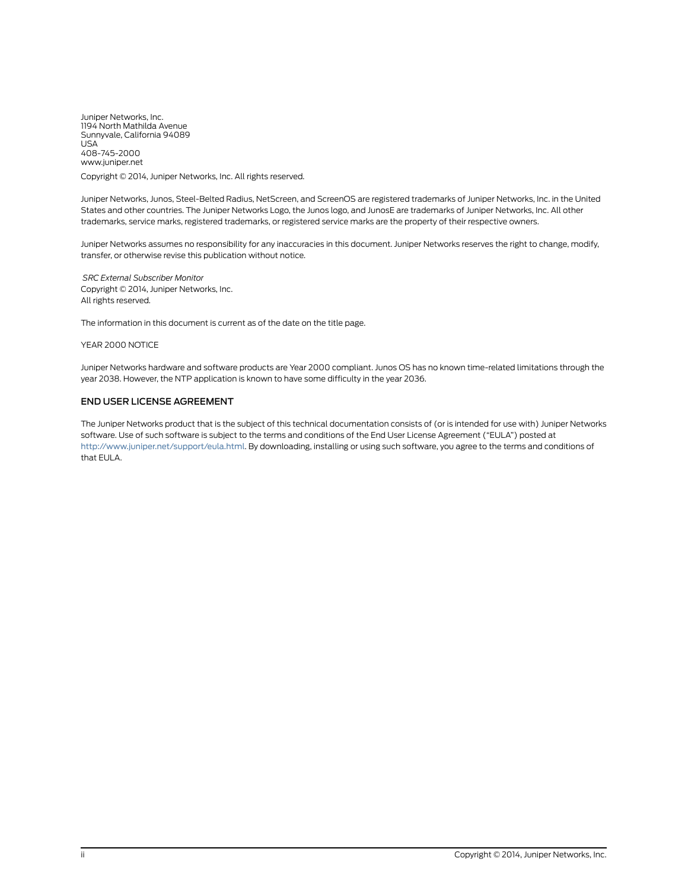Juniper Networks, Inc. 1194 North Mathilda Avenue Sunnyvale, California 94089 USA 408-745-2000 www.juniper.net

Copyright © 2014, Juniper Networks, Inc. All rights reserved.

Juniper Networks, Junos, Steel-Belted Radius, NetScreen, and ScreenOS are registered trademarks of Juniper Networks, Inc. in the United States and other countries. The Juniper Networks Logo, the Junos logo, and JunosE are trademarks of Juniper Networks, Inc. All other trademarks, service marks, registered trademarks, or registered service marks are the property of their respective owners.

Juniper Networks assumes no responsibility for any inaccuracies in this document. Juniper Networks reserves the right to change, modify, transfer, or otherwise revise this publication without notice.

*SRC External Subscriber Monitor* Copyright © 2014, Juniper Networks, Inc. All rights reserved.

The information in this document is current as of the date on the title page.

#### YEAR 2000 NOTICE

Juniper Networks hardware and software products are Year 2000 compliant. Junos OS has no known time-related limitations through the year 2038. However, the NTP application is known to have some difficulty in the year 2036.

#### END USER LICENSE AGREEMENT

The Juniper Networks product that is the subject of this technical documentation consists of (or is intended for use with) Juniper Networks software. Use of such software is subject to the terms and conditions of the End User License Agreement ("EULA") posted at <http://www.juniper.net/support/eula.html>. By downloading, installing or using such software, you agree to the terms and conditions of that EULA.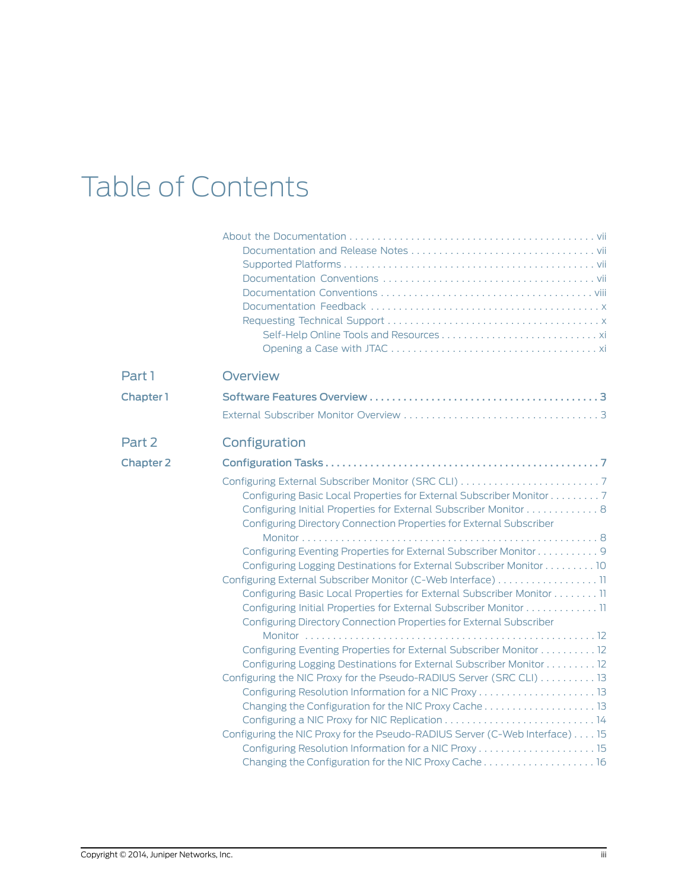# Table of Contents

| Part 1           | <b>Overview</b>                                                                                                                                                                                                                                                                                                                                                                                                                                                                                                                                                                                                                                                                                                        |
|------------------|------------------------------------------------------------------------------------------------------------------------------------------------------------------------------------------------------------------------------------------------------------------------------------------------------------------------------------------------------------------------------------------------------------------------------------------------------------------------------------------------------------------------------------------------------------------------------------------------------------------------------------------------------------------------------------------------------------------------|
| Chapter 1        |                                                                                                                                                                                                                                                                                                                                                                                                                                                                                                                                                                                                                                                                                                                        |
|                  |                                                                                                                                                                                                                                                                                                                                                                                                                                                                                                                                                                                                                                                                                                                        |
| Part 2           | Configuration                                                                                                                                                                                                                                                                                                                                                                                                                                                                                                                                                                                                                                                                                                          |
| <b>Chapter 2</b> |                                                                                                                                                                                                                                                                                                                                                                                                                                                                                                                                                                                                                                                                                                                        |
|                  | Configuring Basic Local Properties for External Subscriber Monitor 7<br>Configuring Initial Properties for External Subscriber Monitor 8<br>Configuring Directory Connection Properties for External Subscriber<br>Configuring Eventing Properties for External Subscriber Monitor 9<br>Configuring Logging Destinations for External Subscriber Monitor 10<br>Configuring External Subscriber Monitor (C-Web Interface) 11<br>Configuring Basic Local Properties for External Subscriber Monitor 11<br>Configuring Initial Properties for External Subscriber Monitor 11<br>Configuring Directory Connection Properties for External Subscriber<br>Configuring Eventing Properties for External Subscriber Monitor 12 |
|                  | Configuring Logging Destinations for External Subscriber Monitor 12<br>Configuring the NIC Proxy for the Pseudo-RADIUS Server (SRC CLI) 13<br>Changing the Configuration for the NIC Proxy Cache 13<br>Configuring the NIC Proxy for the Pseudo-RADIUS Server (C-Web Interface) 15                                                                                                                                                                                                                                                                                                                                                                                                                                     |
|                  | Changing the Configuration for the NIC Proxy Cache 16                                                                                                                                                                                                                                                                                                                                                                                                                                                                                                                                                                                                                                                                  |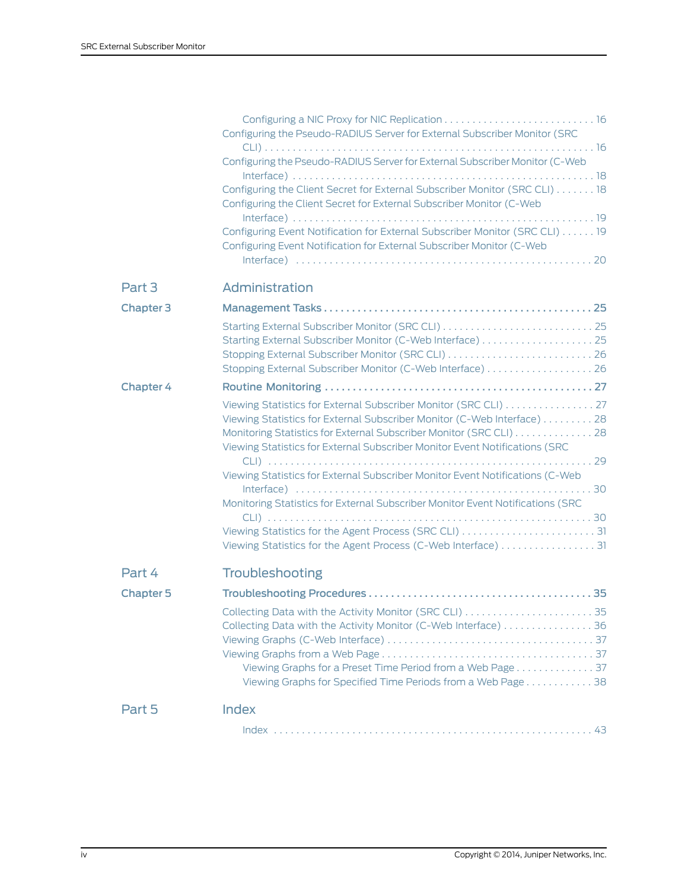|                  | Configuring the Pseudo-RADIUS Server for External Subscriber Monitor (SRC<br>Configuring the Pseudo-RADIUS Server for External Subscriber Monitor (C-Web<br>Configuring the Client Secret for External Subscriber Monitor (SRC CLI) 18<br>Configuring the Client Secret for External Subscriber Monitor (C-Web<br>Configuring Event Notification for External Subscriber Monitor (SRC CLI) 19<br>Configuring Event Notification for External Subscriber Monitor (C-Web<br>$Interface) \n \n \n \n \n \n \n \n \n \n \n20$           |
|------------------|-------------------------------------------------------------------------------------------------------------------------------------------------------------------------------------------------------------------------------------------------------------------------------------------------------------------------------------------------------------------------------------------------------------------------------------------------------------------------------------------------------------------------------------|
| Part 3           | Administration                                                                                                                                                                                                                                                                                                                                                                                                                                                                                                                      |
| <b>Chapter 3</b> |                                                                                                                                                                                                                                                                                                                                                                                                                                                                                                                                     |
|                  | Starting External Subscriber Monitor (C-Web Interface)  25<br>Stopping External Subscriber Monitor (SRC CLI)  26<br>Stopping External Subscriber Monitor (C-Web Interface)  26                                                                                                                                                                                                                                                                                                                                                      |
| <b>Chapter 4</b> |                                                                                                                                                                                                                                                                                                                                                                                                                                                                                                                                     |
|                  | Viewing Statistics for External Subscriber Monitor (SRC CLI) 27<br>Viewing Statistics for External Subscriber Monitor (C-Web Interface) 28<br>Monitoring Statistics for External Subscriber Monitor (SRC CLI) 28<br>Viewing Statistics for External Subscriber Monitor Event Notifications (SRC<br>Viewing Statistics for External Subscriber Monitor Event Notifications (C-Web<br>Monitoring Statistics for External Subscriber Monitor Event Notifications (SRC<br>Viewing Statistics for the Agent Process (C-Web Interface) 31 |
| Part 4           | Troubleshooting                                                                                                                                                                                                                                                                                                                                                                                                                                                                                                                     |
| <b>Chapter 5</b> |                                                                                                                                                                                                                                                                                                                                                                                                                                                                                                                                     |
|                  | Collecting Data with the Activity Monitor (C-Web Interface) 36<br>Viewing Graphs for a Preset Time Period from a Web Page 37<br>Viewing Graphs for Specified Time Periods from a Web Page 38                                                                                                                                                                                                                                                                                                                                        |
| Part 5           | <b>Index</b>                                                                                                                                                                                                                                                                                                                                                                                                                                                                                                                        |
|                  |                                                                                                                                                                                                                                                                                                                                                                                                                                                                                                                                     |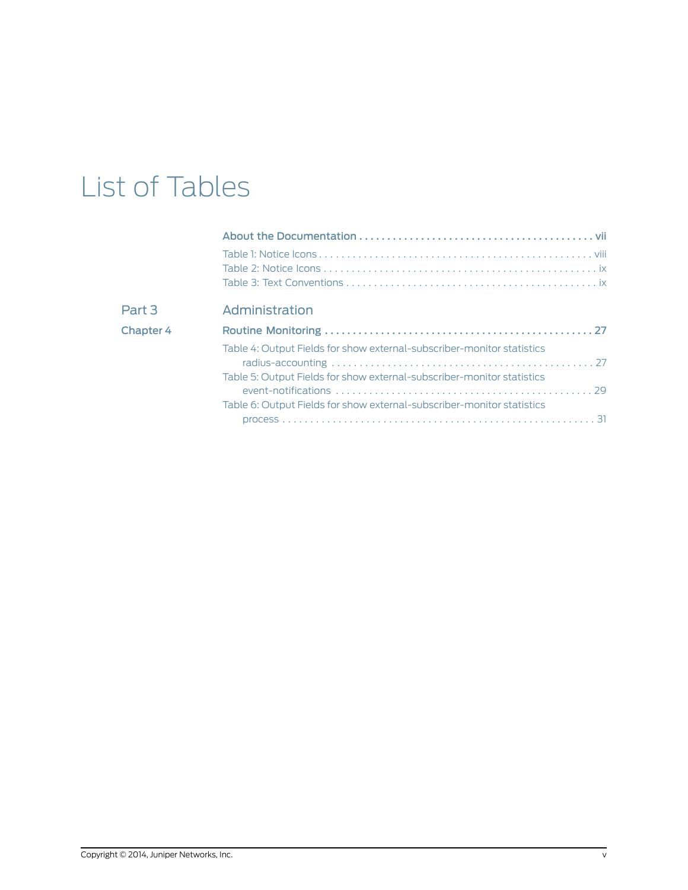# List of Tables

| Part 3           | Administration                                                         |
|------------------|------------------------------------------------------------------------|
| <b>Chapter 4</b> |                                                                        |
|                  | Table 4: Output Fields for show external-subscriber-monitor statistics |
|                  |                                                                        |
|                  | Table 5: Output Fields for show external-subscriber-monitor statistics |
|                  |                                                                        |
|                  | Table 6: Output Fields for show external-subscriber-monitor statistics |
|                  |                                                                        |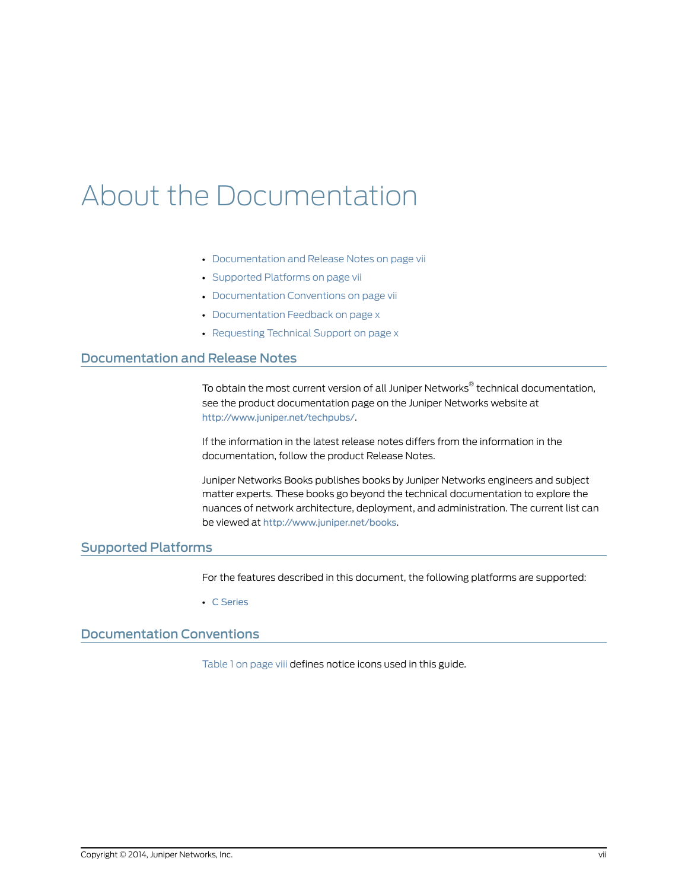# <span id="page-6-0"></span>About the Documentation

- [Documentation](#page-6-1) and Release Notes on [page](#page-6-1) vii
- [Supported](#page-6-2) Platforms on [page](#page-6-2) vii
- [Documentation](#page-6-3) Conventions on [page](#page-6-3) vii
- [Documentation](#page-9-0) Feedback on [page](#page-9-0) x
- [Requesting](#page-9-1) Technical Support on [page](#page-9-1) x

### <span id="page-6-1"></span>Documentation and Release Notes

To obtain the most current version of all Juniper Networks ® technical documentation, see the product documentation page on the Juniper Networks website at <http://www.juniper.net/techpubs/>.

If the information in the latest release notes differs from the information in the documentation, follow the product Release Notes.

Juniper Networks Books publishes books by Juniper Networks engineers and subject matter experts. These books go beyond the technical documentation to explore the nuances of network architecture, deployment, and administration. The current list can be viewed at <http://www.juniper.net/books>.

# <span id="page-6-3"></span><span id="page-6-2"></span>Supported Platforms

For the features described in this document, the following platforms are supported:

• C [Series](http://www.juniper.net/techpubs/en_US/release-independent/src/information-products/pathway-pages/c-series/index.html)

### Documentation Conventions

[Table](#page-7-1) 1 on page viii defines notice icons used in this guide.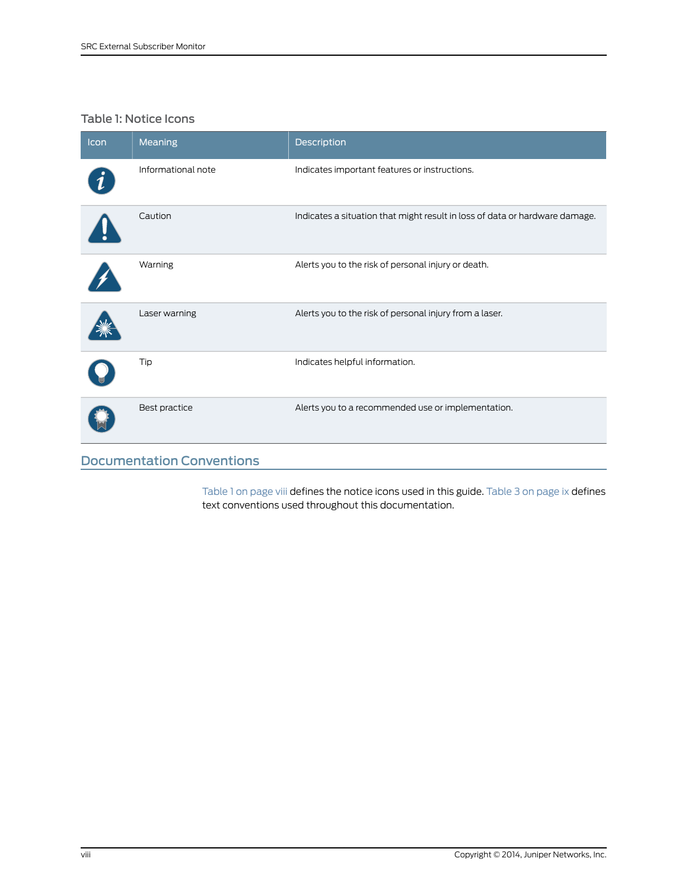# <span id="page-7-1"></span>Table 1: Notice Icons

| Icon                             | Meaning            | Description                                                                 |
|----------------------------------|--------------------|-----------------------------------------------------------------------------|
|                                  | Informational note | Indicates important features or instructions.                               |
|                                  | Caution            | Indicates a situation that might result in loss of data or hardware damage. |
|                                  | Warning            | Alerts you to the risk of personal injury or death.                         |
|                                  | Laser warning      | Alerts you to the risk of personal injury from a laser.                     |
|                                  | Tip                | Indicates helpful information.                                              |
|                                  | Best practice      | Alerts you to a recommended use or implementation.                          |
| <b>Documentation Conventions</b> |                    |                                                                             |

<span id="page-7-2"></span><span id="page-7-0"></span>[Table](#page-8-1) 1 on page viii defines the notice icons used in this guide. Table 3 on page ix defines text conventions used throughout this documentation.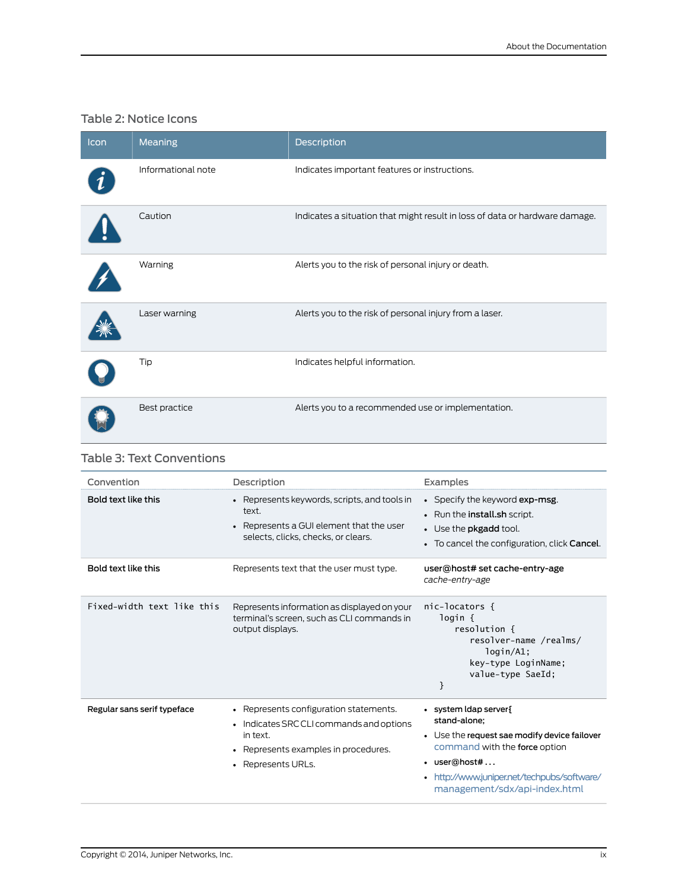# <span id="page-8-0"></span>Table 2: Notice Icons

| Icon | Meaning            | Description                                                                 |
|------|--------------------|-----------------------------------------------------------------------------|
|      | Informational note | Indicates important features or instructions.                               |
|      | Caution            | Indicates a situation that might result in loss of data or hardware damage. |
|      | Warning            | Alerts you to the risk of personal injury or death.                         |
|      | Laser warning      | Alerts you to the risk of personal injury from a laser.                     |
|      | Tip                | Indicates helpful information.                                              |
|      | Best practice      | Alerts you to a recommended use or implementation.                          |

# <span id="page-8-1"></span>Table 3: Text Conventions

| Convention                  | Description                                                                                                                                                  | Examples                                                                                                                                                                                                              |
|-----------------------------|--------------------------------------------------------------------------------------------------------------------------------------------------------------|-----------------------------------------------------------------------------------------------------------------------------------------------------------------------------------------------------------------------|
| Bold text like this         | • Represents keywords, scripts, and tools in<br>text.<br>Represents a GUI element that the user<br>selects, clicks, checks, or clears.                       | • Specify the keyword exp-msg.<br>• Run the <b>install</b> .sh script.<br>• Use the pkgadd tool.<br>• To cancel the configuration, click Cancel.                                                                      |
| Bold text like this         | Represents text that the user must type.                                                                                                                     | user@host# set cache-entry-age<br>cache-entry-age                                                                                                                                                                     |
| Fixed-width text like this  | Represents information as displayed on your<br>terminal's screen, such as CLI commands in<br>output displays.                                                | nic-locators {<br>login {<br>resolution {<br>resolver-name /realms/<br>login/A1;<br>key-type LoginName;<br>value-type SaeId:<br>}                                                                                     |
| Regular sans serif typeface | • Represents configuration statements.<br>• Indicates SRC CLI commands and options<br>in text.<br>• Represents examples in procedures.<br>• Represents URLs. | • system Idap server<br>stand-alone;<br>• Use the request sae modify device failover<br>command with the force option<br>• user@host#<br>• http://www.juniper.net/techpubs/software/<br>management/sdx/api-index.html |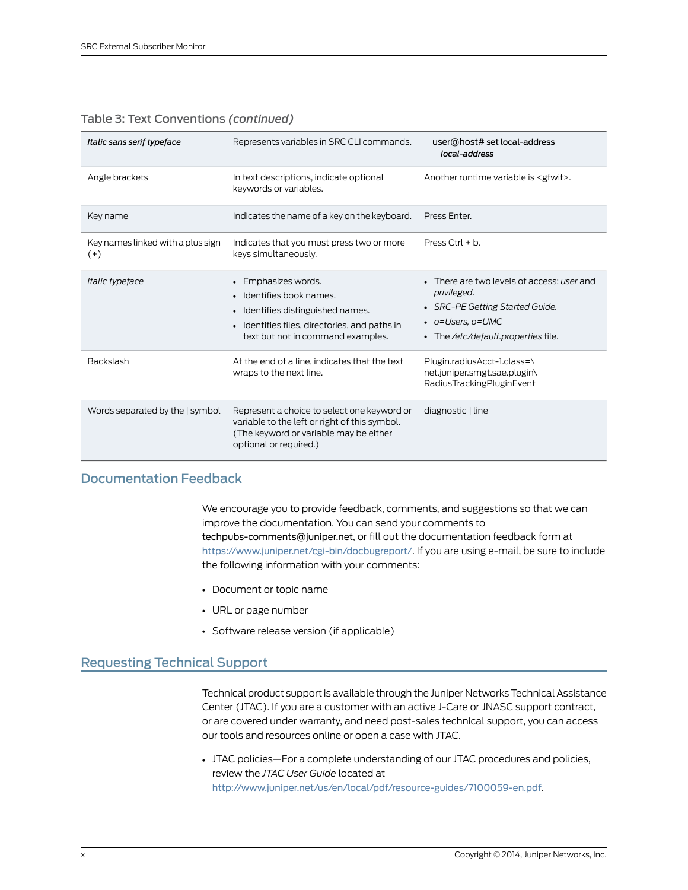| Italic sans serif typeface                 | Represents variables in SRC CLI commands.                                                                                                                                  | user@host# set local-address<br>local-address                                                                                                                   |
|--------------------------------------------|----------------------------------------------------------------------------------------------------------------------------------------------------------------------------|-----------------------------------------------------------------------------------------------------------------------------------------------------------------|
| Angle brackets                             | In text descriptions, indicate optional<br>keywords or variables.                                                                                                          | Another runtime variable is <gfwif>.</gfwif>                                                                                                                    |
| Key name                                   | Indicates the name of a key on the keyboard.                                                                                                                               | Press Enter.                                                                                                                                                    |
| Key names linked with a plus sign<br>$(+)$ | Indicates that you must press two or more<br>keys simultaneously.                                                                                                          | Press Ctrl $+ b$ .                                                                                                                                              |
| Italic typeface                            | • Emphasizes words.<br>• Identifies book names.<br>• Identifies distinguished names.<br>• Identifies files, directories, and paths in<br>text but not in command examples. | • There are two levels of access: user and<br>privileged.<br>• SRC-PE Getting Started Guide.<br>$\bullet$ o=Users. o=UMC<br>• The /etc/default.properties file. |
| Backslash                                  | At the end of a line, indicates that the text<br>wraps to the next line.                                                                                                   | Plugin.radiusAcct-1.class=\<br>net.juniper.smgt.sae.plugin\<br>RadiusTrackingPluginEvent                                                                        |
| Words separated by the   symbol            | Represent a choice to select one keyword or<br>variable to the left or right of this symbol.<br>(The keyword or variable may be either<br>optional or required.)           | diagnostic   line                                                                                                                                               |

### Table 3: Text Conventions *(continued)*

## <span id="page-9-0"></span>Documentation Feedback

<span id="page-9-3"></span>We encourage you to provide feedback, comments, and suggestions so that we can improve the documentation. You can send your comments to [techpubs-comments@juniper.net](mailto:techpubs-comments@juniper.net?subject=), or fill out the documentation feedback form at <https://www.juniper.net/cgi-bin/docbugreport/>. If you are using e-mail, be sure to include the following information with your comments:

- Document or topic name
- URL or page number
- <span id="page-9-2"></span>• Software release version (if applicable)

## <span id="page-9-1"></span>Requesting Technical Support

Technical product support is available through the Juniper NetworksTechnical Assistance Center (JTAC). If you are a customer with an active J-Care or JNASC support contract, or are covered under warranty, and need post-sales technical support, you can access our tools and resources online or open a case with JTAC.

• JTAC policies—For a complete understanding of our JTAC procedures and policies, review the *JTAC User Guide* located at <http://www.juniper.net/us/en/local/pdf/resource-guides/7100059-en.pdf>.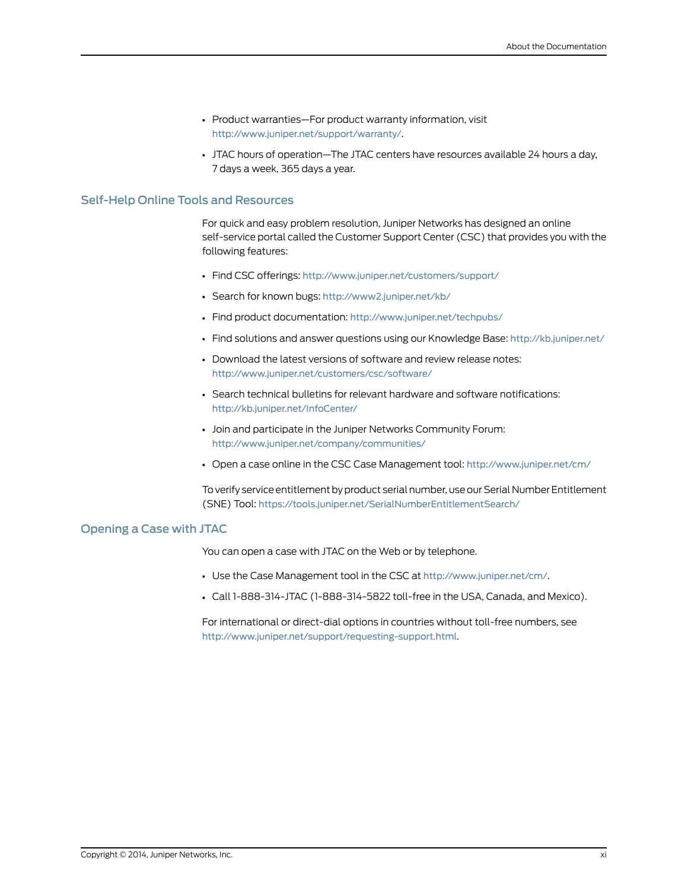- Product warranties—For product warranty information, visit <http://www.juniper.net/support/warranty/>.
- JTAC hours of operation—The JTAC centers have resources available 24 hours a day, 7 days a week, 365 days a year.

### <span id="page-10-0"></span>Self-Help Online Tools and Resources

For quick and easy problem resolution, Juniper Networks has designed an online self-service portal called the Customer Support Center (CSC) that provides you with the following features:

- Find CSC offerings: <http://www.juniper.net/customers/support/>
- Search for known bugs: <http://www2.juniper.net/kb/>
- Find product documentation: <http://www.juniper.net/techpubs/>
- Find solutions and answer questions using our Knowledge Base: <http://kb.juniper.net/>
- Download the latest versions of software and review release notes: <http://www.juniper.net/customers/csc/software/>
- Search technical bulletins for relevant hardware and software notifications: <http://kb.juniper.net/InfoCenter/>
- Join and participate in the Juniper Networks Community Forum: <http://www.juniper.net/company/communities/>
- Open a case online in the CSC Case Management tool: <http://www.juniper.net/cm/>

To verify service entitlement by product serial number, use our Serial Number Entitlement (SNE) Tool: <https://tools.juniper.net/SerialNumberEntitlementSearch/>

### <span id="page-10-1"></span>Opening a Case with JTAC

You can open a case with JTAC on the Web or by telephone.

- Use the Case Management tool in the CSC at <http://www.juniper.net/cm/>.
- Call 1-888-314-JTAC (1-888-314-5822 toll-free in the USA, Canada, and Mexico).

For international or direct-dial options in countries without toll-free numbers, see <http://www.juniper.net/support/requesting-support.html>.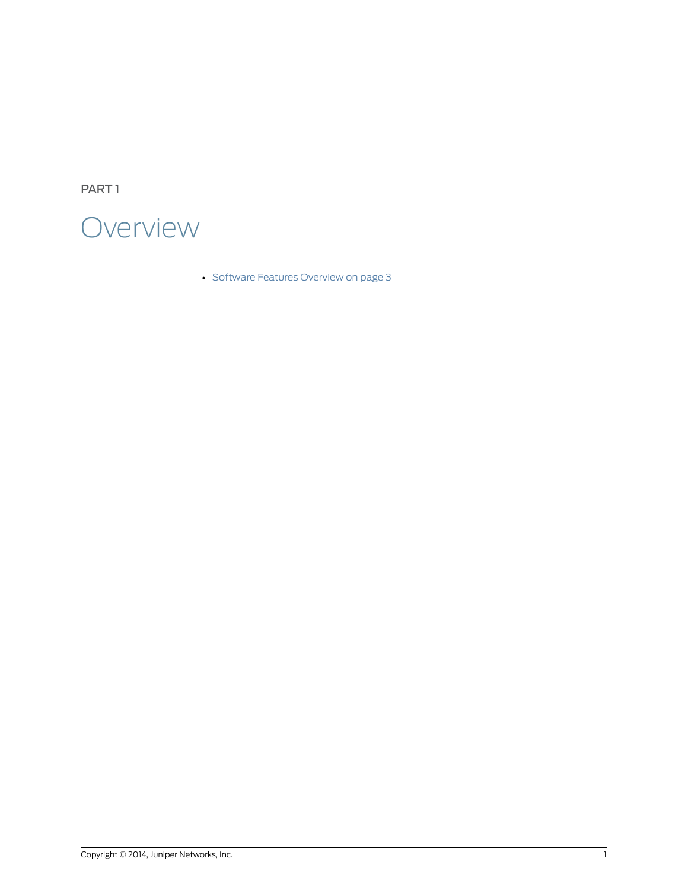<span id="page-12-0"></span>PART 1



• Software Features [Overview](#page-14-0) on [page](#page-14-0) 3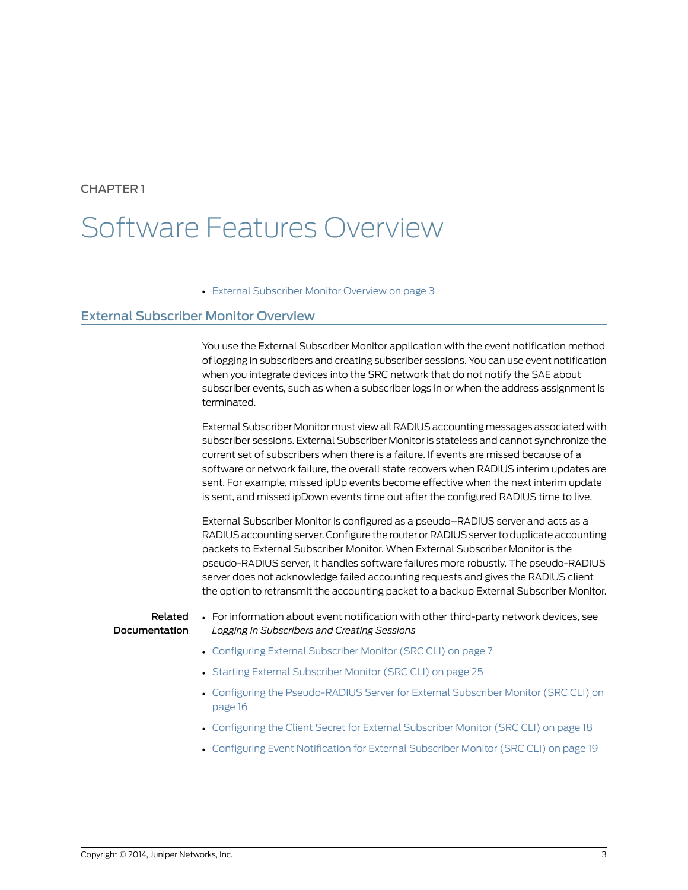## <span id="page-14-0"></span>CHAPTER 1

# Software Features Overview

<span id="page-14-2"></span>• External [Subscriber](#page-14-1) Monitor Overview on [page](#page-14-1) 3

# <span id="page-14-1"></span>External Subscriber Monitor Overview

You use the External Subscriber Monitor application with the event notification method of logging in subscribers and creating subscriber sessions. You can use event notification when you integrate devices into the SRC network that do not notify the SAE about subscriber events, such as when a subscriber logs in or when the address assignment is terminated.

External Subscriber Monitor must view all RADIUS accounting messages associated with subscriber sessions. External Subscriber Monitor is stateless and cannot synchronize the current set of subscribers when there is a failure. If events are missed because of a software or network failure, the overall state recovers when RADIUS interim updates are sent. For example, missed ipUp events become effective when the next interim update is sent, and missed ipDown events time out after the configured RADIUS time to live.

External Subscriber Monitor is configured as a pseudo–RADIUS server and acts as a RADIUS accounting server. Configure the router or RADIUS server to duplicate accounting packets to External Subscriber Monitor. When External Subscriber Monitor is the pseudo-RADIUS server, it handles software failures more robustly. The pseudo-RADIUS server does not acknowledge failed accounting requests and gives the RADIUS client the option to retransmit the accounting packet to a backup External Subscriber Monitor.

Related Documentation

- For information about event notification with other third-party network devices, see *Logging In Subscribers and Creating Sessions*
- [Configuring](#page-18-1) External Subscriber Monitor (SRC CLI) on page 7
- Starting External [Subscriber](#page-36-1) Monitor (SRC CLI) on page 25
- Configuring the [Pseudo-RADIUS](#page-27-2) Server for External Subscriber Monitor (SRC CLI) on [page](#page-27-2) 16
- [Configuring](#page-29-1) the Client Secret for External Subscriber Monitor (SRC CLI) on page 18
- Configuring Event [Notification](#page-30-1) for External Subscriber Monitor (SRC CLI) on page 19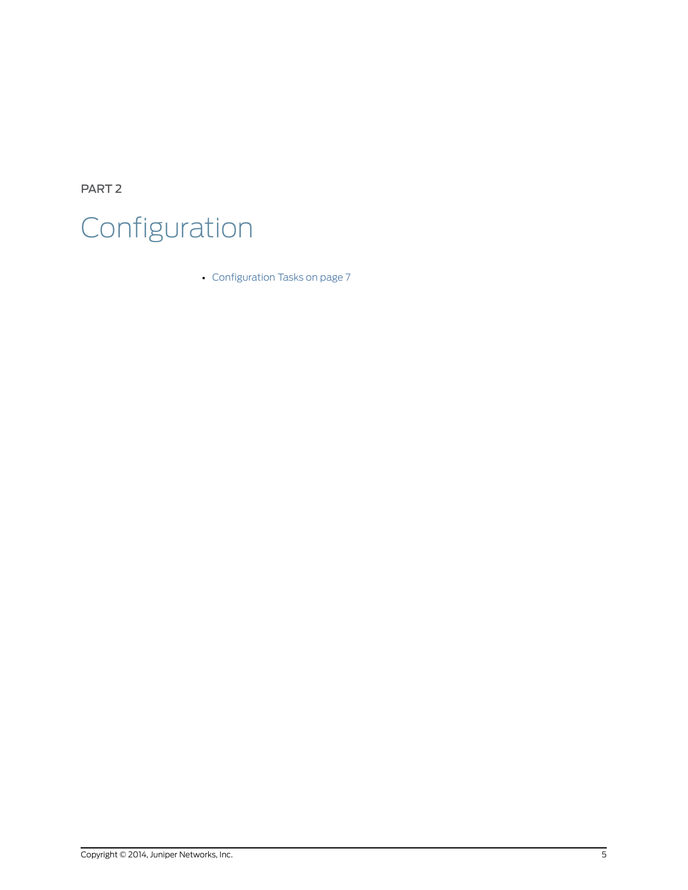<span id="page-16-0"></span>PART 2 Configuration

• [Configuration](#page-18-0) Tasks on [page](#page-18-0) 7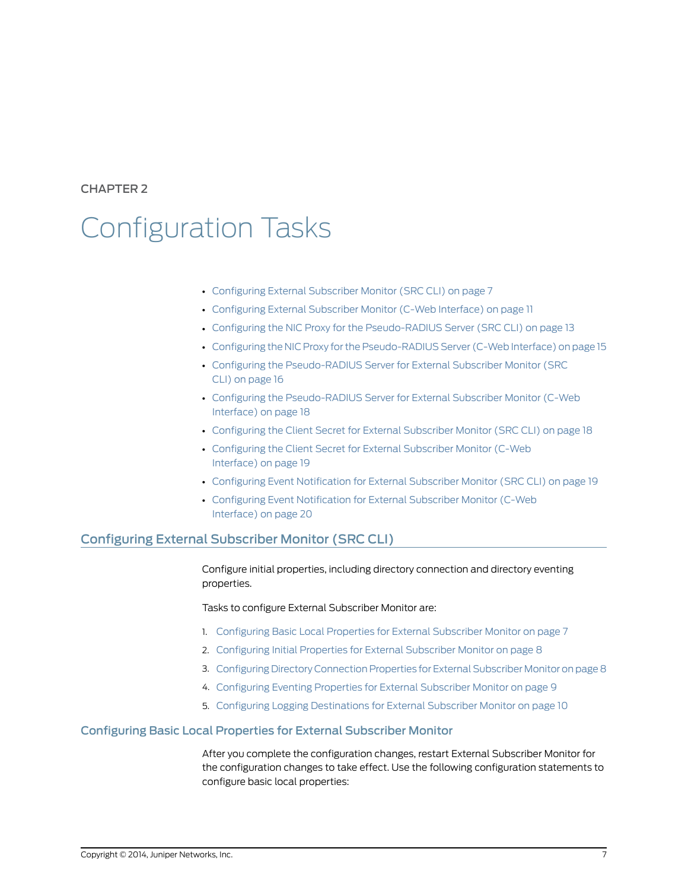<span id="page-18-0"></span>CHAPTER 2

# Configuration Tasks

- [Configuring](#page-18-1) External Subscriber Monitor (SRC CLI) on [page](#page-18-1) 7
- [Configuring](#page-22-0) External Subscriber Monitor (C-Web Interface) on [page](#page-22-0) 11
- Configuring the NIC Proxy for the [Pseudo-RADIUS](#page-24-0) Server (SRC CLI) on [page](#page-24-0) 13
- Configuring the NIC Proxy for the [Pseudo-RADIUS](#page-26-0) Server (C-Web Interface) on [page](#page-26-0) 15
- Configuring the [Pseudo-RADIUS](#page-27-2) Server for External Subscriber Monitor (SRC CLI) on [page](#page-27-2) 16
- Configuring the [Pseudo-RADIUS](#page-29-0) Server for External Subscriber Monitor (C-Web [Interface\)](#page-29-0) on [page](#page-29-0) 18
- [Configuring](#page-29-1) the Client Secret for External Subscriber Monitor (SRC CLI) on [page](#page-29-1) 18
- [Configuring](#page-30-0) the Client Secret for External Subscriber Monitor (C-Web [Interface\)](#page-30-0) on [page](#page-30-0) 19
- Configuring Event [Notification](#page-30-1) for External Subscriber Monitor (SRC CLI) on [page](#page-30-1) 19
- <span id="page-18-3"></span>• Configuring Event [Notification](#page-31-0) for External Subscriber Monitor (C-Web [Interface\)](#page-31-0) on [page](#page-31-0) 20

## <span id="page-18-1"></span>Configuring External Subscriber Monitor (SRC CLI)

Configure initial properties, including directory connection and directory eventing properties.

Tasks to configure External Subscriber Monitor are:

- 1. [Configuring](#page-18-2) Basic Local Properties for External Subscriber Monitor on [page](#page-18-2) 7
- 2. [Configuring](#page-19-0) Initial Properties for External Subscriber Monitor on [page](#page-19-0) 8
- <span id="page-18-4"></span>3. Configuring Directory [Connection](#page-19-1) Properties for External Subscriber Monitor on [page8](#page-19-1)
- 4. [Configuring](#page-20-0) Eventing Properties for External Subscriber Monitor on [page](#page-20-0) 9
- 5. Configuring Logging [Destinations](#page-21-0) for External Subscriber Monitor on [page](#page-21-0) 10

### <span id="page-18-2"></span>Configuring Basic Local Properties for External Subscriber Monitor

After you complete the configuration changes, restart External Subscriber Monitor for the configuration changes to take effect. Use the following configuration statements to configure basic local properties: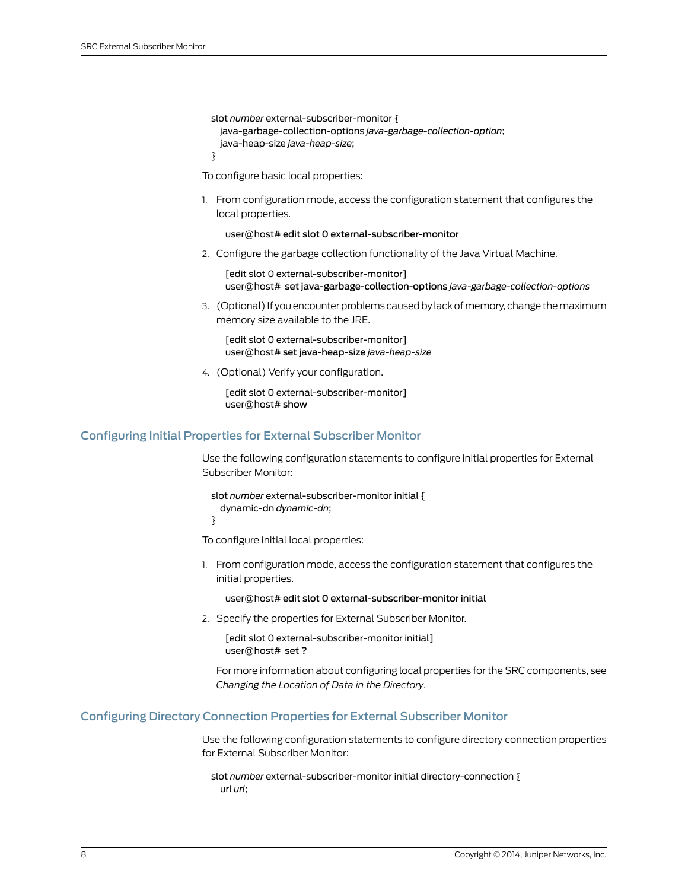```
slot number external-subscriber-monitor {
  java-garbage-collection-options java-garbage-collection-option;
  java-heap-size java-heap-size;
}
```
To configure basic local properties:

1. From configuration mode, access the configuration statement that configures the local properties.

user@host# edit slot 0 external-subscriber-monitor

2. Configure the garbage collection functionality of the Java Virtual Machine.

[edit slot 0 external-subscriber-monitor] user@host# set java-garbage-collection-options *java-garbage-collection-options*

3. (Optional) If you encounter problems caused by lack of memory, change the maximum memory size available to the JRE.

[edit slot 0 external-subscriber-monitor] user@host# set java-heap-size *java-heap-size*

<span id="page-19-3"></span>4. (Optional) Verify your configuration.

[edit slot 0 external-subscriber-monitor] user@host# show

### <span id="page-19-0"></span>Configuring Initial Properties for External Subscriber Monitor

Use the following configuration statements to configure initial properties for External Subscriber Monitor:

slot *number* external-subscriber-monitor initial { dynamic-dn *dynamic-dn*;

}

To configure initial local properties:

1. From configuration mode, access the configuration statement that configures the initial properties.

user@host# edit slot 0 external-subscriber-monitor initial

2. Specify the properties for External Subscriber Monitor.

[edit slot 0 external-subscriber-monitor initial] user@host# set ?

<span id="page-19-2"></span>For more information about configuring local properties for the SRC components, see *Changing the Location of Data in the Directory*.

### <span id="page-19-1"></span>Configuring Directory Connection Properties for External Subscriber Monitor

Use the following configuration statements to configure directory connection properties for External Subscriber Monitor:

slot *number* external-subscriber-monitor initial directory-connection { url *url*;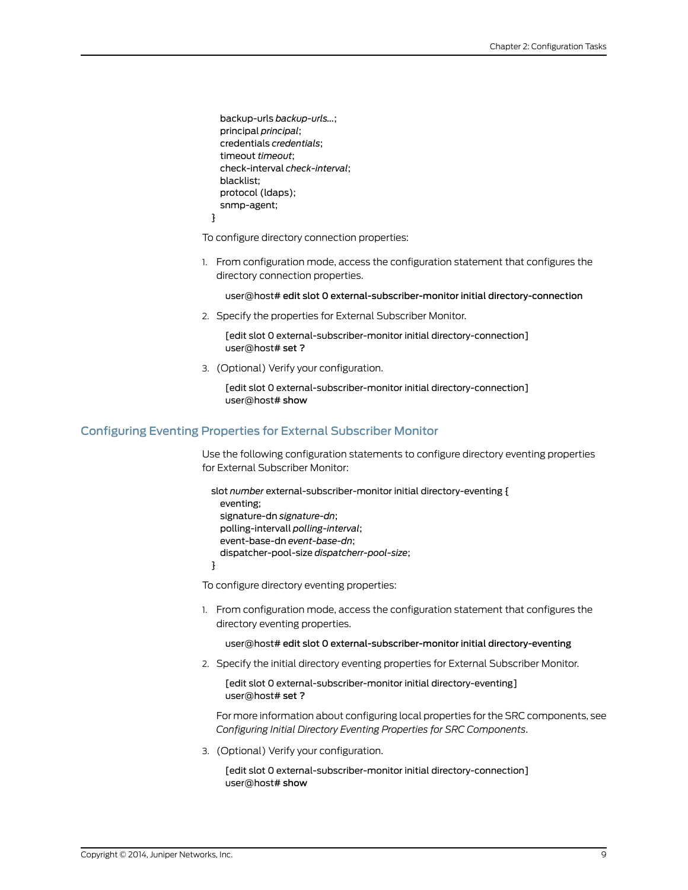backup-urls *backup-urls...*; principal *principal*; credentials *credentials*; timeout *timeout*; check-interval *check-interval*; blacklist; protocol (ldaps); snmp-agent; }

To configure directory connection properties:

1. From configuration mode, access the configuration statement that configures the directory connection properties.

user@host# edit slot 0 external-subscriber-monitor initial directory-connection

2. Specify the properties for External Subscriber Monitor.

[edit slot 0 external-subscriber-monitor initial directory-connection] user@host# set ?

<span id="page-20-1"></span>3. (Optional) Verify your configuration.

[edit slot 0 external-subscriber-monitor initial directory-connection] user@host# show

### <span id="page-20-0"></span>Configuring Eventing Properties for External Subscriber Monitor

Use the following configuration statements to configure directory eventing properties for External Subscriber Monitor:

slot *number* external-subscriber-monitor initial directory-eventing { eventing; signature-dn *signature-dn*; polling-intervall *polling-interval*; event-base-dn *event-base-dn*; dispatcher-pool-size *dispatcherr-pool-size*; }

To configure directory eventing properties:

1. From configuration mode, access the configuration statement that configures the directory eventing properties.

#### user@host# edit slot 0 external-subscriber-monitor initial directory-eventing

2. Specify the initial directory eventing properties for External Subscriber Monitor.

[edit slot 0 external-subscriber-monitor initial directory-eventing] user@host# set ?

For more information about configuring local properties for the SRC components, see *Configuring Initial Directory Eventing Properties for SRC Components*.

3. (Optional) Verify your configuration.

[edit slot 0 external-subscriber-monitor initial directory-connection] user@host# show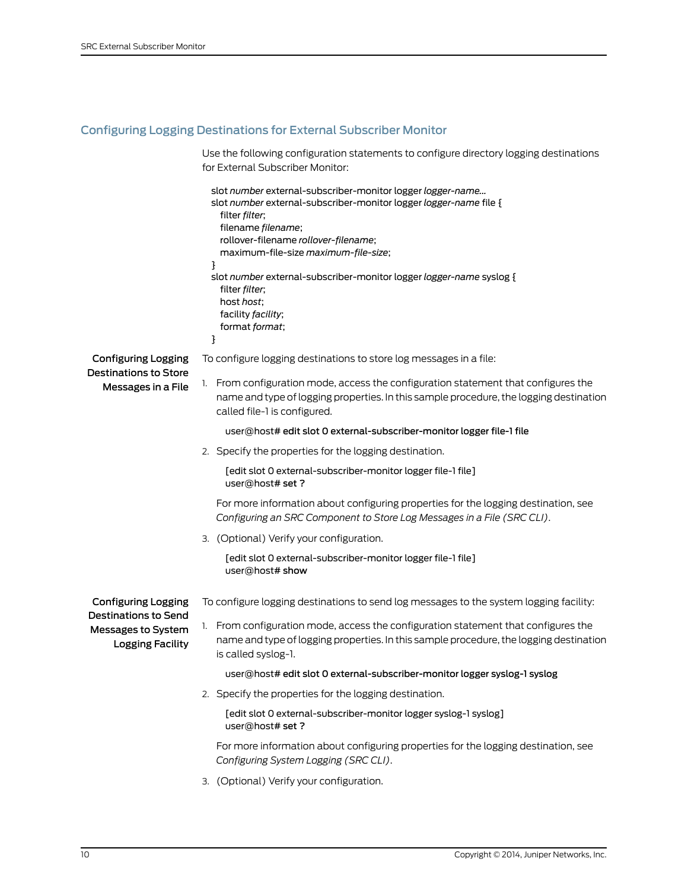# <span id="page-21-0"></span>Configuring Logging Destinations for External Subscriber Monitor

<span id="page-21-1"></span>Use the following configuration statements to configure directory logging destinations for External Subscriber Monitor:

|                                                                              | slot number external-subscriber-monitor logger logger-name<br>slot number external-subscriber-monitor logger logger-name file {<br>filter filter;<br>filename filename;<br>rollover-filename rollover-filename;<br>maximum-file-size maximum-file-size;<br>}<br>slot number external-subscriber-monitor logger logger-name syslog {<br>filter <i>filter</i> ;<br>host host;<br>facility facility;<br>format format;<br>} |
|------------------------------------------------------------------------------|--------------------------------------------------------------------------------------------------------------------------------------------------------------------------------------------------------------------------------------------------------------------------------------------------------------------------------------------------------------------------------------------------------------------------|
| Configuring Logging                                                          | To configure logging destinations to store log messages in a file:                                                                                                                                                                                                                                                                                                                                                       |
| <b>Destinations to Store</b><br>Messages in a File                           | 1. From configuration mode, access the configuration statement that configures the<br>name and type of logging properties. In this sample procedure, the logging destination<br>called file-1 is configured.                                                                                                                                                                                                             |
|                                                                              | user@host#edit slot 0 external-subscriber-monitor logger file-1 file                                                                                                                                                                                                                                                                                                                                                     |
|                                                                              | 2. Specify the properties for the logging destination.                                                                                                                                                                                                                                                                                                                                                                   |
|                                                                              | [edit slot 0 external-subscriber-monitor logger file-1 file]<br>user@host# set?                                                                                                                                                                                                                                                                                                                                          |
|                                                                              | For more information about configuring properties for the logging destination, see<br>Configuring an SRC Component to Store Log Messages in a File (SRC CLI).                                                                                                                                                                                                                                                            |
|                                                                              | 3. (Optional) Verify your configuration.                                                                                                                                                                                                                                                                                                                                                                                 |
|                                                                              | [edit slot 0 external-subscriber-monitor logger file-1 file]<br>user@host# show                                                                                                                                                                                                                                                                                                                                          |
| Configuring Logging                                                          | To configure logging destinations to send log messages to the system logging facility:                                                                                                                                                                                                                                                                                                                                   |
| <b>Destinations to Send</b><br>Messages to System<br><b>Logging Facility</b> | 1. From configuration mode, access the configuration statement that configures the<br>name and type of logging properties. In this sample procedure, the logging destination<br>is called syslog-1.                                                                                                                                                                                                                      |
|                                                                              | user@host# edit slot 0 external-subscriber-monitor logger syslog-1 syslog                                                                                                                                                                                                                                                                                                                                                |
|                                                                              | 2. Specify the properties for the logging destination.                                                                                                                                                                                                                                                                                                                                                                   |
|                                                                              | [edit slot 0 external-subscriber-monitor logger syslog-1 syslog]<br>user@host# set?                                                                                                                                                                                                                                                                                                                                      |
|                                                                              | For more information about configuring properties for the logging destination, see<br>Configuring System Logging (SRC CLI).                                                                                                                                                                                                                                                                                              |
|                                                                              | 3. (Optional) Verify your configuration.                                                                                                                                                                                                                                                                                                                                                                                 |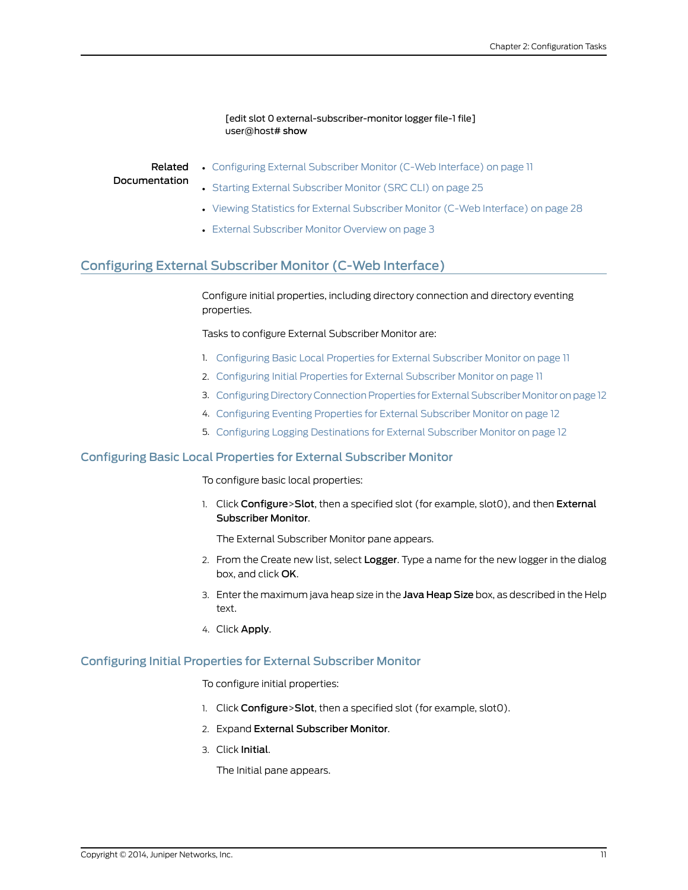### [edit slot 0 external-subscriber-monitor logger file-1 file] user@host# show

Related Documentation

- [Configuring](#page-22-0) External Subscriber Monitor (C-Web Interface) on page 11
- 
- Starting External [Subscriber](#page-36-1) Monitor (SRC CLI) on page 25
- Viewing Statistics for External [Subscriber](#page-39-0) Monitor (C-Web Interface) on page 28
- External [Subscriber](#page-14-1) Monitor Overview on page 3

# <span id="page-22-0"></span>Configuring External Subscriber Monitor (C-Web Interface)

<span id="page-22-5"></span>Configure initial properties, including directory connection and directory eventing properties.

Tasks to configure External Subscriber Monitor are:

- 1. [Configuring](#page-22-1) Basic Local Properties for External Subscriber Monitor on [page](#page-22-1) 11
- 2. [Configuring](#page-22-2) Initial Properties for External Subscriber Monitor on [page](#page-22-2) 11
- 3. Configuring Directory [Connection](#page-23-0) Properties for External Subscriber Monitor on [page](#page-23-0) 12
- 4. [Configuring](#page-23-1) Eventing Properties for External Subscriber Monitor on [page](#page-23-1) 12
- <span id="page-22-3"></span>5. Configuring Logging [Destinations](#page-23-2) for External Subscriber Monitor on [page](#page-23-2) 12

### <span id="page-22-1"></span>Configuring Basic Local Properties for External Subscriber Monitor

To configure basic local properties:

1. Click Configure>Slot, then a specified slot (for example, slot0), and then External Subscriber Monitor.

The External Subscriber Monitor pane appears.

- 2. From the Create new list, select Logger. Type a name for the new logger in the dialog box, and click OK.
- 3. Enter the maximum java heap size in the Java Heap Size box, as described in the Help text.
- <span id="page-22-4"></span>4. Click Apply.

### <span id="page-22-2"></span>Configuring Initial Properties for External Subscriber Monitor

To configure initial properties:

- 1. Click Configure>Slot, then a specified slot (for example, slot0).
- 2. Expand External Subscriber Monitor.
- 3. Click Initial.

The Initial pane appears.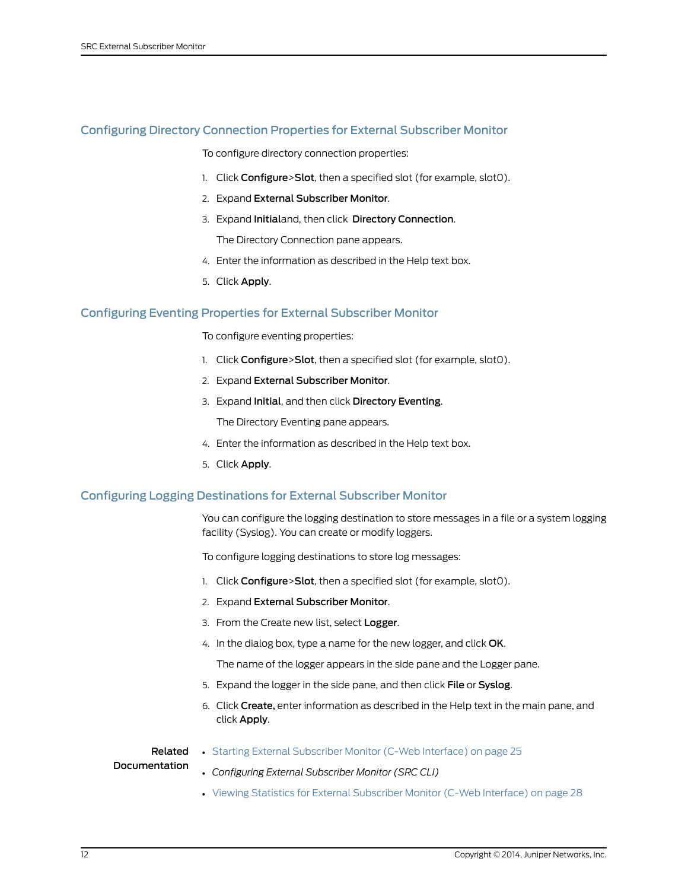## <span id="page-23-0"></span>Configuring Directory Connection Properties for External Subscriber Monitor

<span id="page-23-3"></span>To configure directory connection properties:

- 1. Click Configure>Slot, then a specified slot (for example, slot0).
- 2. Expand External Subscriber Monitor.
- 3. Expand Initialand, then click Directory Connection.

The Directory Connection pane appears.

- 4. Enter the information as described in the Help text box.
- <span id="page-23-4"></span>5. Click Apply.

### <span id="page-23-1"></span>Configuring Eventing Properties for External Subscriber Monitor

To configure eventing properties:

- 1. Click Configure>Slot, then a specified slot (for example, slot0).
- 2. Expand External Subscriber Monitor.
- 3. Expand Initial, and then click Directory Eventing.

The Directory Eventing pane appears.

- 4. Enter the information as described in the Help text box.
- 5. Click Apply.

### <span id="page-23-2"></span>Configuring Logging Destinations for External Subscriber Monitor

You can configure the logging destination to store messages in a file or a system logging facility (Syslog). You can create or modify loggers.

To configure logging destinations to store log messages:

- 1. Click Configure>Slot, then a specified slot (for example, slot0).
- 2. Expand External Subscriber Monitor.
- 3. From the Create new list, select Logger.
- 4. In the dialog box, type a name for the new logger, and click OK.

The name of the logger appears in the side pane and the Logger pane.

- 5. Expand the logger in the side pane, and then click File or Syslog.
- 6. Click Create, enter information as described in the Help text in the main pane, and click Apply.

#### Related • Starting External [Subscriber](#page-36-2) Monitor (C-Web Interface) on page 25

### Documentation

- *Configuring External Subscriber Monitor (SRC CLI)*
- Viewing Statistics for External [Subscriber](#page-39-0) Monitor (C-Web Interface) on page 28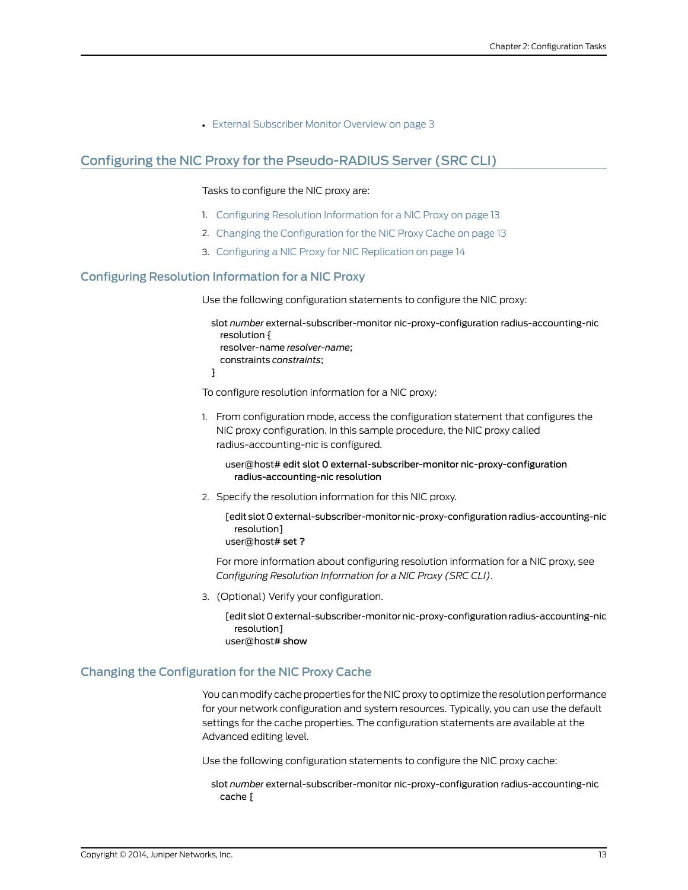• External [Subscriber](#page-14-1) Monitor Overview on page 3

# <span id="page-24-0"></span>Configuring the NIC Proxy for the Pseudo-RADIUS Server (SRC CLI)

### <span id="page-24-3"></span>Tasks to configure the NIC proxy are:

- 1. Configuring Resolution [Information](#page-24-1) for a NIC Proxy on [page](#page-24-1) 13
- 2. Changing the [Configuration](#page-24-2) for the NIC Proxy Cache on [page](#page-24-2) 13
- <span id="page-24-5"></span>3. [Configuring](#page-25-0) a NIC Proxy for NIC Replication on [page](#page-25-0) 14

### <span id="page-24-1"></span>Configuring Resolution Information for a NIC Proxy

Use the following configuration statements to configure the NIC proxy:

slot *number* external-subscriber-monitor nic-proxy-configuration radius-accounting-nic resolution { resolver-name *resolver-name*; constraints *constraints*; }

To configure resolution information for a NIC proxy:

1. From configuration mode, access the configuration statement that configures the NIC proxy configuration. In this sample procedure, the NIC proxy called radius-accounting-nic is configured.

user@host# edit slot 0 external-subscriber-monitor nic-proxy-configuration radius-accounting-nic resolution

2. Specify the resolution information for this NIC proxy.

[edit slot 0 external-subscriber-monitor nic-proxy-configuration radius-accounting-nic resolution]

user@host# set ?

For more information about configuring resolution information for a NIC proxy, see *Configuring Resolution Information for a NIC Proxy (SRC CLI)*.

<span id="page-24-4"></span>3. (Optional) Verify your configuration.

[edit slot 0 external-subscriber-monitor nic-proxy-configuration radius-accounting-nic resolution]

user@host# show

### <span id="page-24-2"></span>Changing the Configuration for the NIC Proxy Cache

You can modify cache properties for the NIC proxy to optimize the resolution performance for your network configuration and system resources. Typically, you can use the default settings for the cache properties. The configuration statements are available at the Advanced editing level.

Use the following configuration statements to configure the NIC proxy cache:

slot *number* external-subscriber-monitor nic-proxy-configuration radius-accounting-nic cache {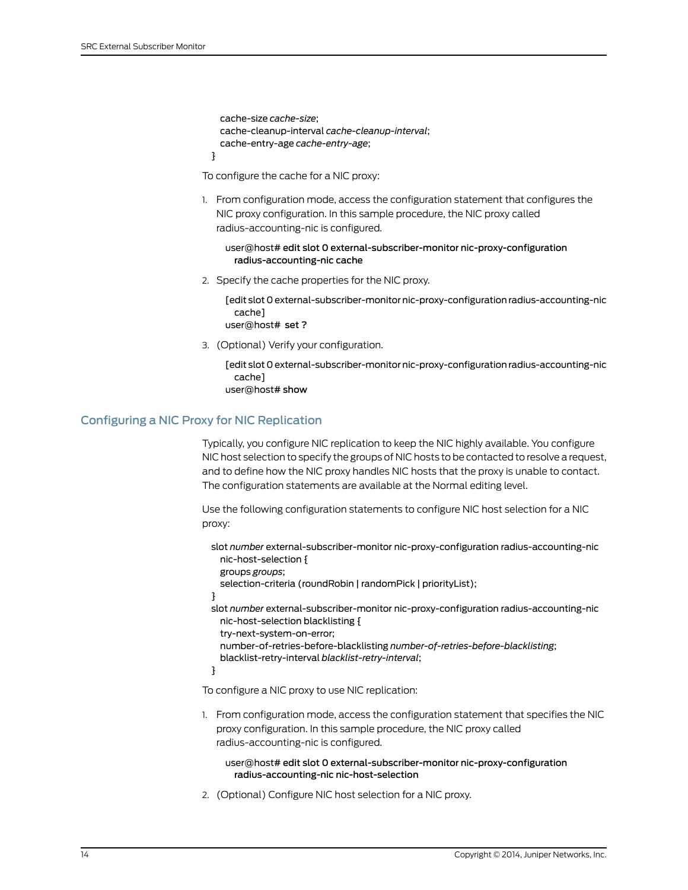cache-size *cache-size*; cache-cleanup-interval *cache-cleanup-interval*; cache-entry-age *cache-entry-age*;

To configure the cache for a NIC proxy:

1. From configuration mode, access the configuration statement that configures the NIC proxy configuration. In this sample procedure, the NIC proxy called radius-accounting-nic is configured.

```
user@host# edit slot 0 external-subscriber-monitor nic-proxy-configuration
  radius-accounting-nic cache
```
2. Specify the cache properties for the NIC proxy.

[edit slot 0 external-subscriber-monitor nic-proxy-configuration radius-accounting-nic cache]

user@host# set ?

3. (Optional) Verify your configuration.

[edit slot 0 external-subscriber-monitor nic-proxy-configuration radius-accounting-nic cache] user@host# show

### <span id="page-25-0"></span>Configuring a NIC Proxy for NIC Replication

}

<span id="page-25-1"></span>Typically, you configure NIC replication to keep the NIC highly available. You configure NIC host selection to specify the groups of NIC hosts to be contacted to resolve a request, and to define how the NIC proxy handles NIC hosts that the proxy is unable to contact. The configuration statements are available at the Normal editing level.

Use the following configuration statements to configure NIC host selection for a NIC proxy:

- slot *number* external-subscriber-monitor nic-proxy-configuration radius-accounting-nic nic-host-selection {
	- groups *groups*;

selection-criteria (roundRobin | randomPick | priorityList);

- }
- slot *number* external-subscriber-monitor nic-proxy-configuration radius-accounting-nic nic-host-selection blacklisting {

try-next-system-on-error;

number-of-retries-before-blacklisting *number-of-retries-before-blacklisting*;

blacklist-retry-interval *blacklist-retry-interval*;

}

To configure a NIC proxy to use NIC replication:

1. From configuration mode, access the configuration statement that specifies the NIC proxy configuration. In this sample procedure, the NIC proxy called radius-accounting-nic is configured.

user@host# edit slot 0 external-subscriber-monitor nic-proxy-configuration radius-accounting-nic nic-host-selection

2. (Optional) Configure NIC host selection for a NIC proxy.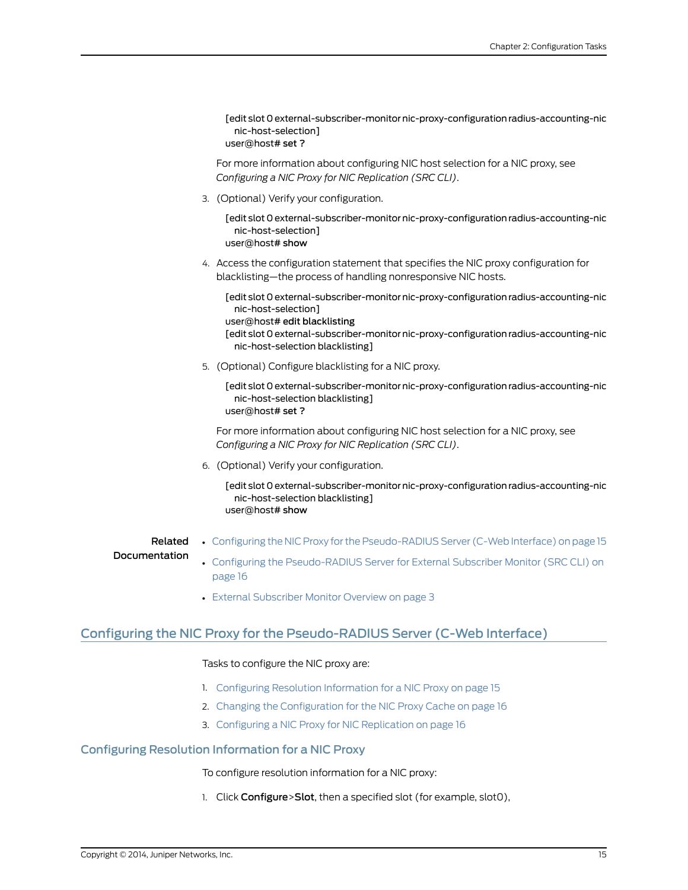[edit slot 0 external-subscriber-monitor nic-proxy-configuration radius-accounting-nic nic-host-selection] user@host# set ?

For more information about configuring NIC host selection for a NIC proxy, see *Configuring a NIC Proxy for NIC Replication (SRC CLI)*.

3. (Optional) Verify your configuration.

[edit slot 0 external-subscriber-monitor nic-proxy-configuration radius-accounting-nic nic-host-selection] user@host# show

4. Access the configuration statement that specifies the NIC proxy configuration for blacklisting—the process of handling nonresponsive NIC hosts.

[edit slot 0 external-subscriber-monitor nic-proxy-configuration radius-accounting-nic nic-host-selection]

user@host# edit blacklisting

[edit slot 0 external-subscriber-monitor nic-proxy-configuration radius-accounting-nic nic-host-selection blacklisting]

5. (Optional) Configure blacklisting for a NIC proxy.

[edit slot 0 external-subscriber-monitor nic-proxy-configuration radius-accounting-nic nic-host-selection blacklisting] user@host# set ?

For more information about configuring NIC host selection for a NIC proxy, see *Configuring a NIC Proxy for NIC Replication (SRC CLI)*.

6. (Optional) Verify your configuration.

[edit slot 0 external-subscriber-monitor nic-proxy-configuration radius-accounting-nic nic-host-selection blacklisting] user@host# show

Related

- Configuring the NIC Proxy for the [Pseudo-RADIUS](#page-26-0) Server (C-Web Interface) on page 15
- <span id="page-26-0"></span>Documentation
- Configuring the [Pseudo-RADIUS](#page-27-2) Server for External Subscriber Monitor (SRC CLI) on [page](#page-27-2) 16
- <span id="page-26-2"></span>• External [Subscriber](#page-14-1) Monitor Overview on page 3

# <span id="page-26-1"></span>Configuring the NIC Proxy for the Pseudo-RADIUS Server (C-Web Interface)

### Tasks to configure the NIC proxy are:

- 1. Configuring Resolution [Information](#page-26-1) for a NIC Proxy on [page](#page-26-1) 15
- 2. Changing the [Configuration](#page-27-0) for the NIC Proxy Cache on [page](#page-27-0) 16
- 3. [Configuring](#page-27-1) a NIC Proxy for NIC Replication on [page](#page-27-1) 16

### Configuring Resolution Information for a NIC Proxy

To configure resolution information for a NIC proxy:

1. Click Configure>Slot, then a specified slot (for example, slotO),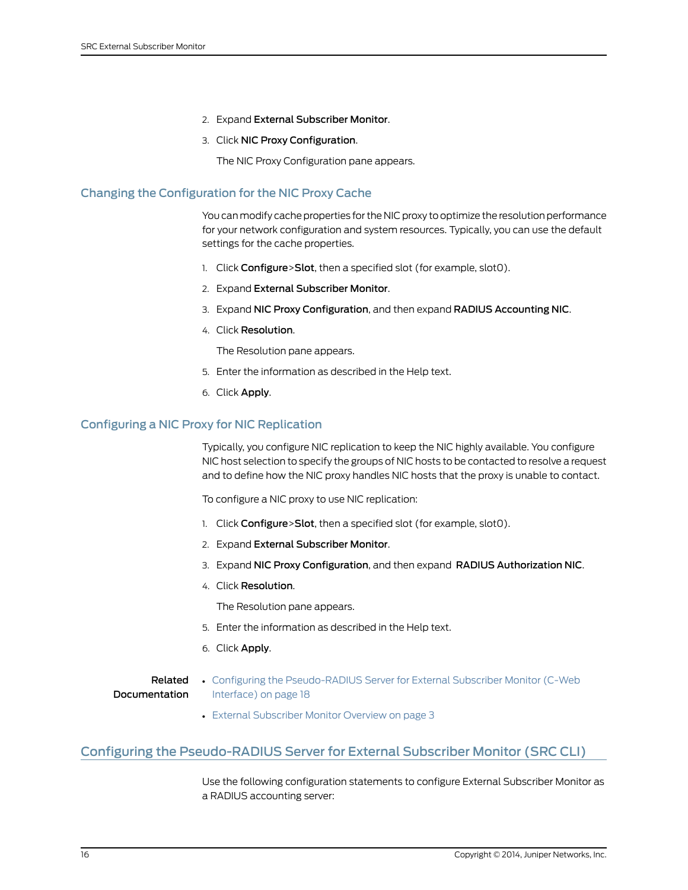- 2. Expand External Subscriber Monitor.
- 3. Click NIC Proxy Configuration.

The NIC Proxy Configuration pane appears.

### <span id="page-27-0"></span>Changing the Configuration for the NIC Proxy Cache

<span id="page-27-3"></span>You can modify cache properties for the NIC proxy to optimize the resolution performance for your network configuration and system resources. Typically, you can use the default settings for the cache properties.

- 1. Click Configure>Slot, then a specified slot (for example, slot0).
- 2. Expand External Subscriber Monitor.
- 3. Expand NIC Proxy Configuration, and then expand RADIUS Accounting NIC.
- 4. Click Resolution.

The Resolution pane appears.

- 5. Enter the information as described in the Help text.
- <span id="page-27-4"></span>6. Click Apply.

### <span id="page-27-1"></span>Configuring a NIC Proxy for NIC Replication

Typically, you configure NIC replication to keep the NIC highly available. You configure NIC host selection to specify the groups of NIC hosts to be contacted to resolve a request and to define how the NIC proxy handles NIC hosts that the proxy is unable to contact.

To configure a NIC proxy to use NIC replication:

- 1. Click Configure>Slot, then a specified slot (for example, slot0).
- 2. Expand External Subscriber Monitor.
- 3. Expand NIC Proxy Configuration, and then expand RADIUS Authorization NIC.
- 4. Click Resolution.

The Resolution pane appears.

- 5. Enter the information as described in the Help text.
- 6. Click Apply.

#### <span id="page-27-2"></span>Related • Configuring the [Pseudo-RADIUS](#page-29-0) Server for External Subscriber Monitor (C-Web Documentation [Interface\)](#page-29-0) on page 18

<span id="page-27-5"></span>• External [Subscriber](#page-14-1) Monitor Overview on page 3

## Configuring the Pseudo-RADIUS Server for External Subscriber Monitor (SRC CLI)

Use the following configuration statements to configure External Subscriber Monitor as a RADIUS accounting server: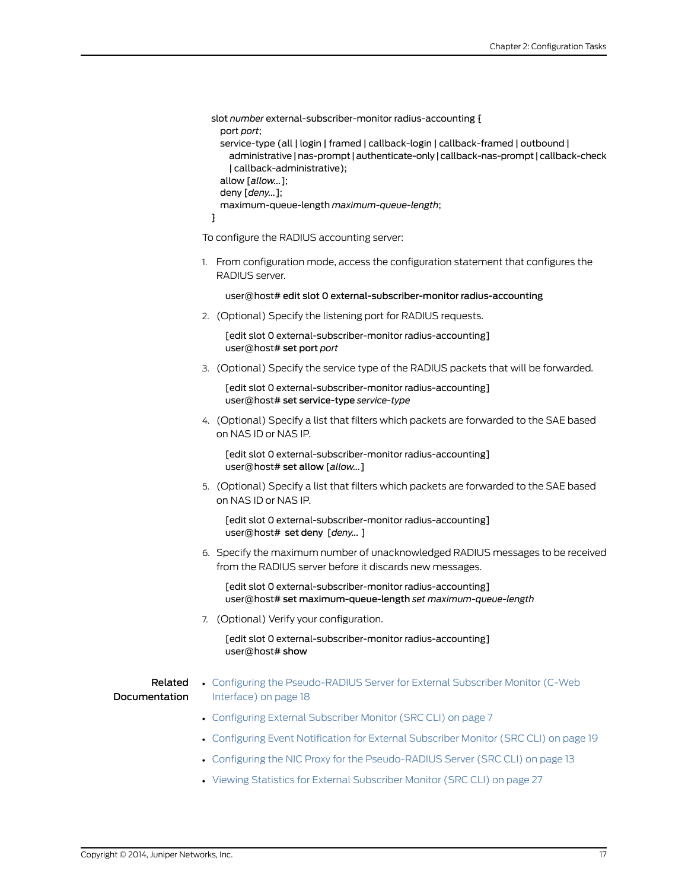```
slot number external-subscriber-monitor radius-accounting {
  port port;
 service-type (all | login | framed | callback-login | callback-framed | outbound |
   administrative|nas-prompt |authenticate-only | callback-nas-prompt | callback-check
   | callback-administrative);
  allow [allow...];
 deny [deny...];
 maximum-queue-length maximum-queue-length;
}
```
To configure the RADIUS accounting server:

1. From configuration mode, access the configuration statement that configures the RADIUS server.

user@host# edit slot 0 external-subscriber-monitor radius-accounting

2. (Optional) Specify the listening port for RADIUS requests.

[edit slot 0 external-subscriber-monitor radius-accounting] user@host# set port *port*

3. (Optional) Specify the service type of the RADIUS packets that will be forwarded.

[edit slot 0 external-subscriber-monitor radius-accounting] user@host# set service-type *service-type*

4. (Optional) Specify a list that filters which packets are forwarded to the SAE based on NAS ID or NAS IP.

[edit slot 0 external-subscriber-monitor radius-accounting] user@host# set allow [*allow...*]

5. (Optional) Specify a list that filters which packets are forwarded to the SAE based on NAS ID or NAS IP.

[edit slot 0 external-subscriber-monitor radius-accounting] user@host# set deny [*deny...* ]

6. Specify the maximum number of unacknowledged RADIUS messages to be received from the RADIUS server before it discards new messages.

[edit slot 0 external-subscriber-monitor radius-accounting] user@host# set maximum-queue-length *set maximum-queue-length*

7. (Optional) Verify your configuration.

[edit slot 0 external-subscriber-monitor radius-accounting] user@host# show

### Related Documentation

- Configuring the [Pseudo-RADIUS](#page-29-0) Server for External Subscriber Monitor (C-Web [Interface\)](#page-29-0) on page 18
	- [Configuring](#page-18-1) External Subscriber Monitor (SRC CLI) on page 7
	- Configuring Event [Notification](#page-30-1) for External Subscriber Monitor (SRC CLI) on page 19
	- Configuring the NIC Proxy for the [Pseudo-RADIUS](#page-24-0) Server (SRC CLI) on page 13
	- Viewing Statistics for External [Subscriber](#page-38-1) Monitor (SRC CLI) on page 27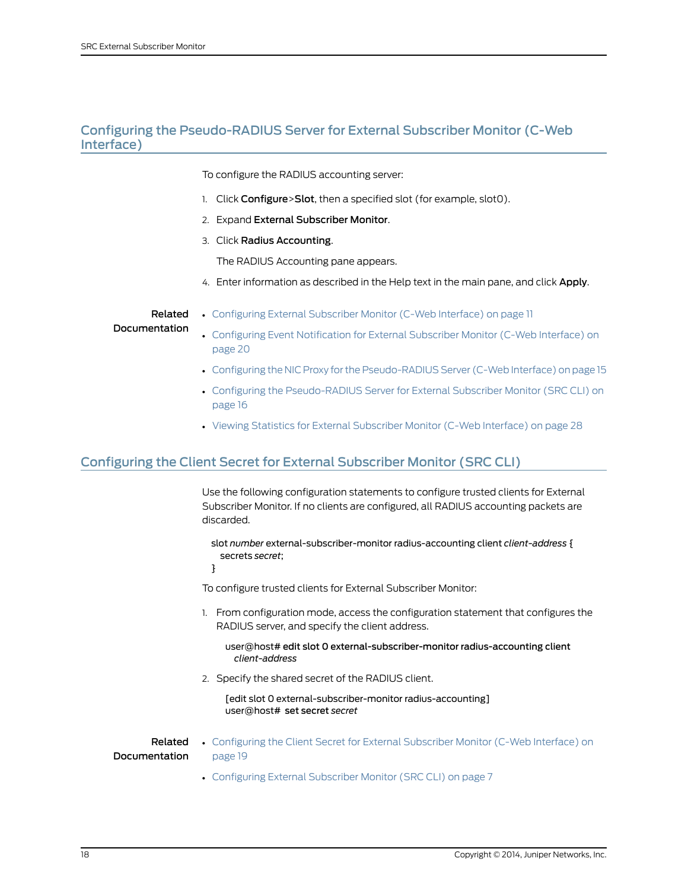# <span id="page-29-0"></span>Configuring the Pseudo-RADIUS Server for External Subscriber Monitor (C-Web Interface)

<span id="page-29-3"></span>To configure the RADIUS accounting server:

- 1. Click Configure>Slot, then a specified slot (for example, slot0).
- 2. Expand External Subscriber Monitor.
- 3. Click Radius Accounting.

The RADIUS Accounting pane appears.

4. Enter information as described in the Help text in the main pane, and click Apply.

Related Documentation

- [Configuring](#page-22-0) External Subscriber Monitor (C-Web Interface) on page 11
- Configuring Event [Notification](#page-31-0) for External Subscriber Monitor (C-Web Interface) on [page](#page-31-0) 20
- Configuring the NIC Proxy for the [Pseudo-RADIUS](#page-26-0) Server (C-Web Interface) on page 15
- Configuring the [Pseudo-RADIUS](#page-27-2) Server for External Subscriber Monitor (SRC CLI) on [page](#page-27-2) 16
- <span id="page-29-2"></span>• Viewing Statistics for External [Subscriber](#page-39-0) Monitor (C-Web Interface) on page 28

## <span id="page-29-1"></span>Configuring the Client Secret for External Subscriber Monitor (SRC CLI)

Use the following configuration statements to configure trusted clients for External Subscriber Monitor. If no clients are configured, all RADIUS accounting packets are discarded.

slot *number* external-subscriber-monitor radius-accounting client *client-address* { secrets *secret*;

}

To configure trusted clients for External Subscriber Monitor:

- 1. From configuration mode, access the configuration statement that configures the RADIUS server, and specify the client address.
	- user@host# edit slot 0 external-subscriber-monitor radius-accounting client *client-address*
- 2. Specify the shared secret of the RADIUS client.

[edit slot 0 external-subscriber-monitor radius-accounting] user@host# set secret *secret*

Documentation

- Related [Configuring](#page-30-0) the Client Secret for External Subscriber Monitor (C-Web Interface) on [page](#page-30-0) 19
	- [Configuring](#page-18-1) External Subscriber Monitor (SRC CLI) on page 7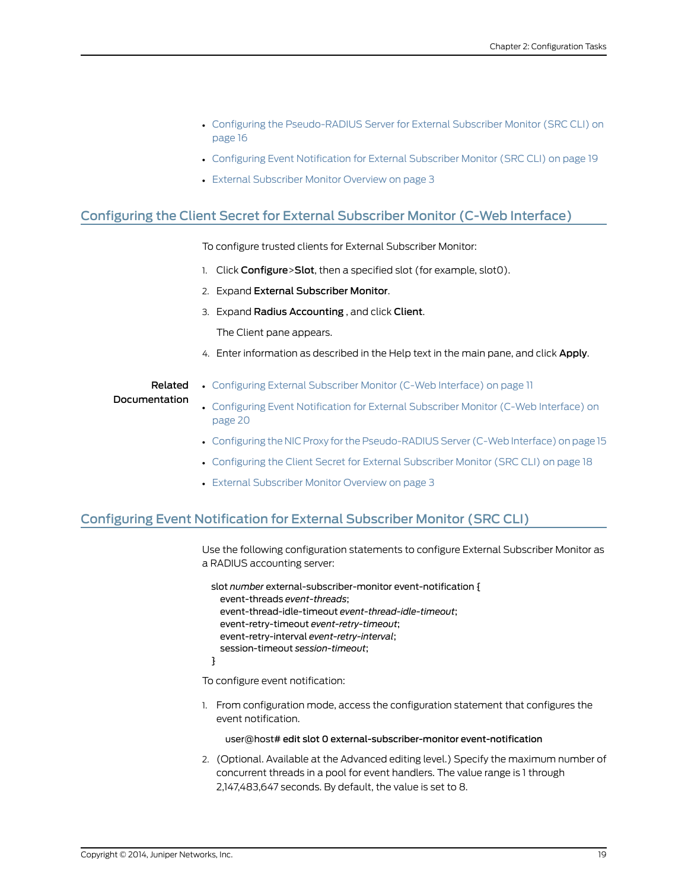- Configuring the [Pseudo-RADIUS](#page-27-2) Server for External Subscriber Monitor (SRC CLI) on [page](#page-27-2) 16
- Configuring Event [Notification](#page-30-1) for External Subscriber Monitor (SRC CLI) on page 19
- External [Subscriber](#page-14-1) Monitor Overview on page 3

# <span id="page-30-0"></span>Configuring the Client Secret for External Subscriber Monitor (C-Web Interface)

<span id="page-30-3"></span>To configure trusted clients for External Subscriber Monitor:

- 1. Click Configure>Slot, then a specified slot (for example, slot0).
- 2. Expand External Subscriber Monitor.
- 3. Expand Radius Accounting , and click Client.

The Client pane appears.

4. Enter information as described in the Help text in the main pane, and click Apply.

### Related Documentation

- [Configuring](#page-22-0) External Subscriber Monitor (C-Web Interface) on page 11
- Configuring Event [Notification](#page-31-0) for External Subscriber Monitor (C-Web Interface) on [page](#page-31-0) 20
- Configuring the NIC Proxy for the [Pseudo-RADIUS](#page-26-0) Server (C-Web Interface) on page 15
- [Configuring](#page-29-1) the Client Secret for External Subscriber Monitor (SRC CLI) on page 18
- <span id="page-30-2"></span>• External [Subscriber](#page-14-1) Monitor Overview on page 3

## <span id="page-30-1"></span>Configuring Event Notification for External Subscriber Monitor (SRC CLI)

Use the following configuration statements to configure External Subscriber Monitor as a RADIUS accounting server:

slot *number* external-subscriber-monitor event-notification { event-threads *event-threads*; event-thread-idle-timeout *event-thread-idle-timeout*; event-retry-timeout *event-retry-timeout*; event-retry-interval *event-retry-interval*; session-timeout *session-timeout*;

}

To configure event notification:

1. From configuration mode, access the configuration statement that configures the event notification.

user@host# edit slot 0 external-subscriber-monitor event-notification

2. (Optional. Available at the Advanced editing level.) Specify the maximum number of concurrent threads in a pool for event handlers. The value range is 1 through 2,147,483,647 seconds. By default, the value is set to 8.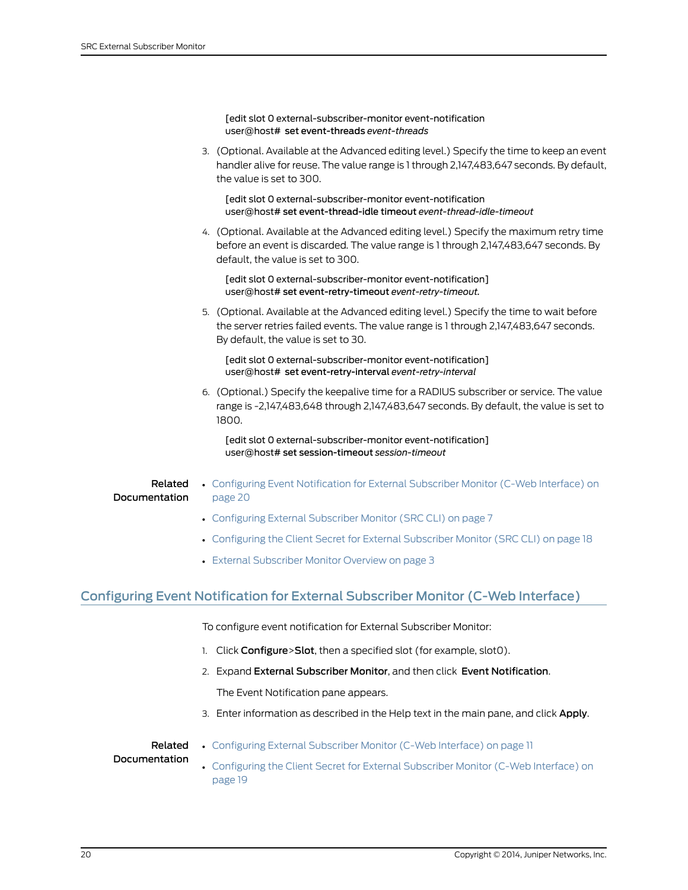|                          | [edit slot 0 external-subscriber-monitor event-notification<br>user@host# set event-threads event-threads                                                                                                               |
|--------------------------|-------------------------------------------------------------------------------------------------------------------------------------------------------------------------------------------------------------------------|
|                          | 3. (Optional. Available at the Advanced editing level.) Specify the time to keep an event<br>handler alive for reuse. The value range is 1 through 2,147,483,647 seconds. By default,<br>the value is set to 300.       |
|                          | [edit slot 0 external-subscriber-monitor event-notification<br>user@host# set event-thread-idle timeout event-thread-idle-timeout                                                                                       |
|                          | 4. (Optional. Available at the Advanced editing level.) Specify the maximum retry time<br>before an event is discarded. The value range is 1 through 2,147,483,647 seconds. By<br>default, the value is set to 300.     |
|                          | [edit slot 0 external-subscriber-monitor event-notification]<br>user@host# set event-retry-timeout event-retry-timeout.                                                                                                 |
|                          | 5. (Optional. Available at the Advanced editing level.) Specify the time to wait before<br>the server retries failed events. The value range is 1 through 2,147,483,647 seconds.<br>By default, the value is set to 30. |
|                          | [edit slot 0 external-subscriber-monitor event-notification]<br>user@host# set event-retry-interval event-retry-interval                                                                                                |
|                          | 6. (Optional.) Specify the keepalive time for a RADIUS subscriber or service. The value<br>range is -2,147,483,648 through 2,147,483,647 seconds. By default, the value is set to<br>1800.                              |
|                          | [edit slot 0 external-subscriber-monitor event-notification]<br>user@host# set session-timeout session-timeout                                                                                                          |
| Related<br>Documentation | • Configuring Event Notification for External Subscriber Monitor (C-Web Interface) on<br>page 20                                                                                                                        |
|                          | • Configuring External Subscriber Monitor (SRC CLI) on page 7                                                                                                                                                           |
|                          | • Configuring the Client Secret for External Subscriber Monitor (SRC CLI) on page 18                                                                                                                                    |
|                          | • External Subscriber Monitor Overview on page 3                                                                                                                                                                        |

# <span id="page-31-0"></span>Configuring Event Notification for External Subscriber Monitor (C-Web Interface)

<span id="page-31-1"></span>To configure event notification for External Subscriber Monitor:

- 1. Click Configure>Slot, then a specified slot (for example, slot0).
- 2. Expand External Subscriber Monitor, and then click Event Notification. The Event Notification pane appears.
- 3. Enter information as described in the Help text in the main pane, and click Apply.

# Related

• [Configuring](#page-22-0) External Subscriber Monitor (C-Web Interface) on page 11

### Documentation

• [Configuring](#page-30-0) the Client Secret for External Subscriber Monitor (C-Web Interface) on [page](#page-30-0) 19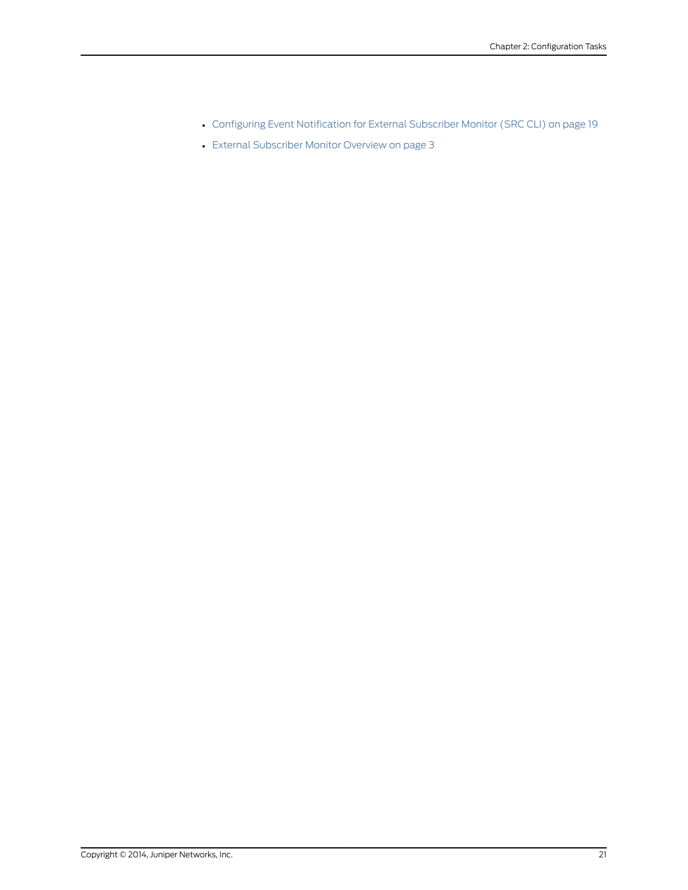- Configuring Event [Notification](#page-30-1) for External Subscriber Monitor (SRC CLI) on page 19
- External [Subscriber](#page-14-1) Monitor Overview on page 3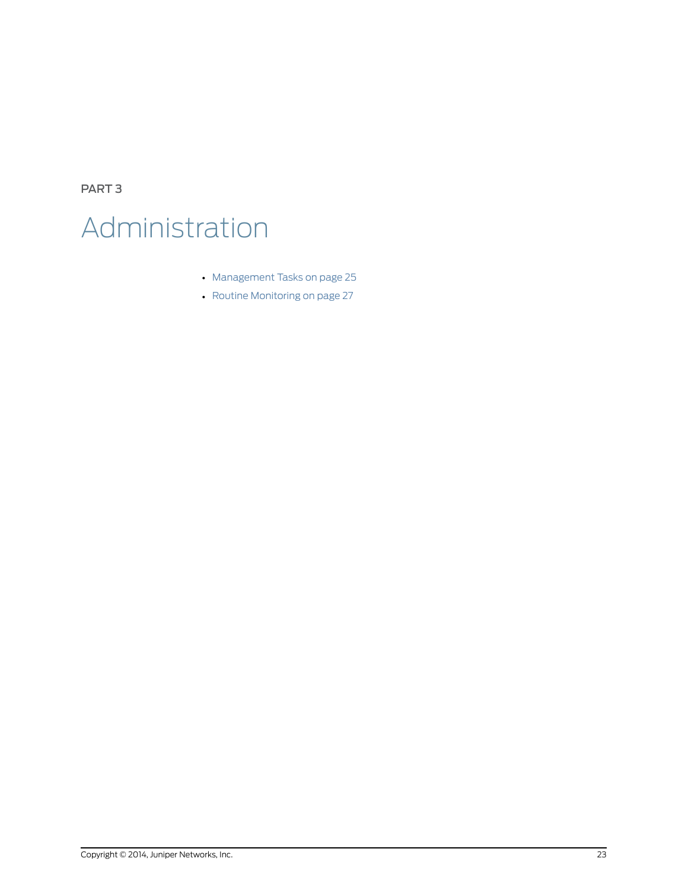<span id="page-34-0"></span>PART 3 Administration

- [Management](#page-36-0) Tasks on [page](#page-36-0) 25
- Routine [Monitoring](#page-38-0) on [page](#page-38-0) 27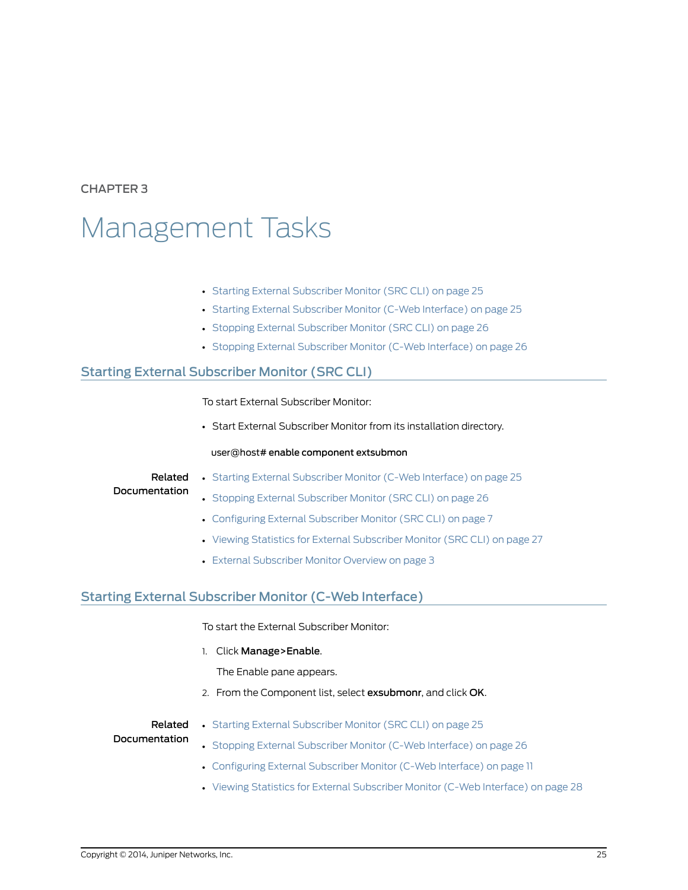# <span id="page-36-0"></span>CHAPTER 3

# Management Tasks

- Starting External [Subscriber](#page-36-1) Monitor (SRC CLI) on [page](#page-36-1) 25
- Starting External [Subscriber](#page-36-2) Monitor (C-Web Interface) on [page](#page-36-2) 25
- Stopping External [Subscriber](#page-37-0) Monitor (SRC CLI) on [page](#page-37-0) 26
- <span id="page-36-3"></span>• Stopping External [Subscriber](#page-37-1) Monitor (C-Web Interface) on [page](#page-37-1) 26

# <span id="page-36-1"></span>Starting External Subscriber Monitor (SRC CLI)

To start External Subscriber Monitor:

• Start External Subscriber Monitor from its installation directory.

### user@host# enable component extsubmon

# Related

• Starting External [Subscriber](#page-36-2) Monitor (C-Web Interface) on page 25

### **Documentation**

- Stopping External [Subscriber](#page-37-0) Monitor (SRC CLI) on page 26
	- [Configuring](#page-18-1) External Subscriber Monitor (SRC CLI) on page 7
	- Viewing Statistics for External [Subscriber](#page-38-1) Monitor (SRC CLI) on page 27
	- External [Subscriber](#page-14-1) Monitor Overview on page 3

# <span id="page-36-2"></span>Starting External Subscriber Monitor (C-Web Interface)

<span id="page-36-4"></span>To start the External Subscriber Monitor:

1. Click Manage>Enable.

The Enable pane appears.

2. From the Component list, select exsubmonr, and click OK.

Related

• Starting External [Subscriber](#page-36-1) Monitor (SRC CLI) on page 25

### Documentation

- Stopping External [Subscriber](#page-37-1) Monitor (C-Web Interface) on page 26
- [Configuring](#page-22-0) External Subscriber Monitor (C-Web Interface) on page 11
- Viewing Statistics for External [Subscriber](#page-39-0) Monitor (C-Web Interface) on page 28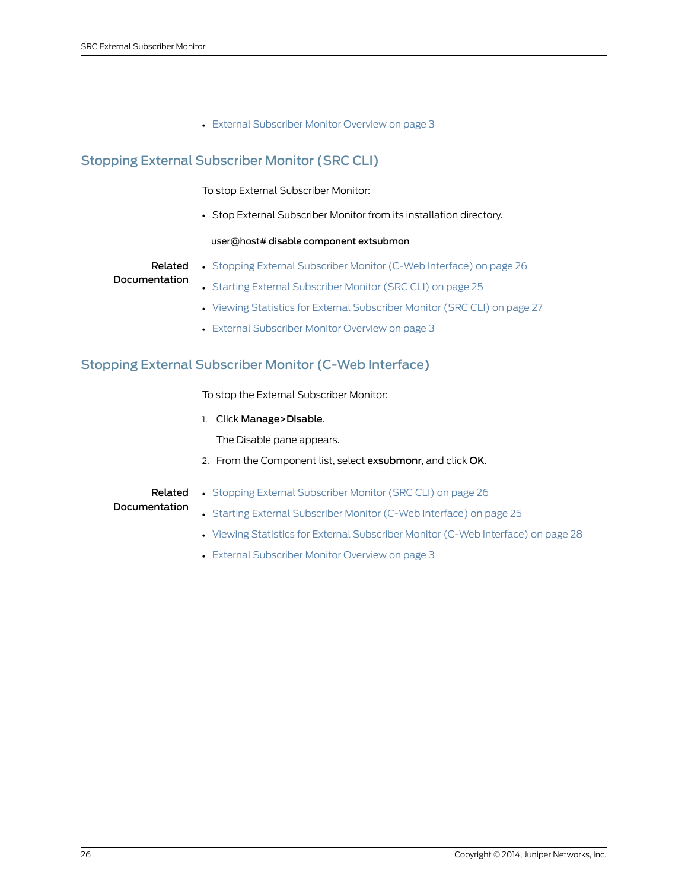• External [Subscriber](#page-14-1) Monitor Overview on page 3

# <span id="page-37-0"></span>Stopping External Subscriber Monitor (SRC CLI)

<span id="page-37-2"></span>To stop External Subscriber Monitor:

• Stop External Subscriber Monitor from its installation directory.

### user@host# disable component extsubmon

Related • Stopping External [Subscriber](#page-37-1) Monitor (C-Web Interface) on page 26

### Documentation

- Starting External [Subscriber](#page-36-1) Monitor (SRC CLI) on page 25
- Viewing Statistics for External [Subscriber](#page-38-1) Monitor (SRC CLI) on page 27
- <span id="page-37-3"></span>• External [Subscriber](#page-14-1) Monitor Overview on page 3

# <span id="page-37-1"></span>Stopping External Subscriber Monitor (C-Web Interface)

To stop the External Subscriber Monitor:

1. Click Manage>Disable.

The Disable pane appears.

2. From the Component list, select exsubmonr, and click OK.

### Related Documentation

- Stopping External [Subscriber](#page-37-0) Monitor (SRC CLI) on page 26
- Starting External [Subscriber](#page-36-2) Monitor (C-Web Interface) on page 25
- Viewing Statistics for External [Subscriber](#page-39-0) Monitor (C-Web Interface) on page 28
- External [Subscriber](#page-14-1) Monitor Overview on page 3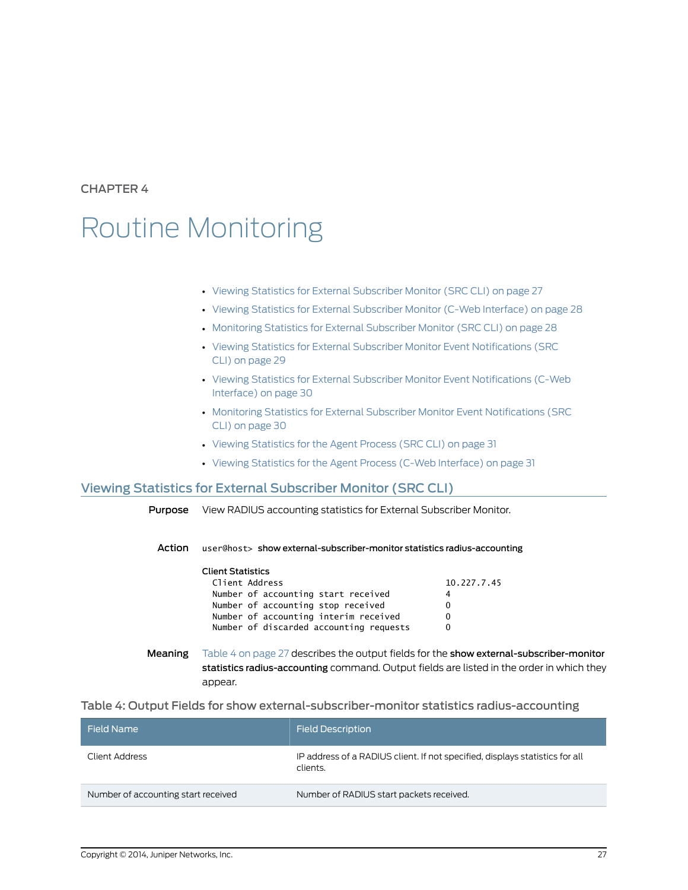<span id="page-38-0"></span>CHAPTER 4

# Routine Monitoring

- Viewing Statistics for External [Subscriber](#page-38-1) Monitor (SRC CLI) on [page](#page-38-1) 27
- Viewing Statistics for External [Subscriber](#page-39-0) Monitor (C-Web Interface) on [page](#page-39-0) 28
- [Monitoring](#page-39-1) Statistics for External Subscriber Monitor (SRC CLI) on [page](#page-39-1) 28
- Viewing Statistics for External Subscriber Monitor Event [Notifications](#page-40-0) (SRC CLI) on [page](#page-40-0) 29
- Viewing Statistics for External Subscriber Monitor Event [Notifications](#page-41-0) (C-Web [Interface\)](#page-41-0) on [page](#page-41-0) 30
- Monitoring Statistics for External Subscriber Monitor Event [Notifications](#page-41-1) (SRC CLI) on [page](#page-41-1) 30
- Viewing [Statistics](#page-42-0) for the Agent Process (SRC CLI) on [page](#page-42-0) 31
- <span id="page-38-3"></span>• Viewing Statistics for the Agent Process (C-Web [Interface\)](#page-42-1) on [page](#page-42-1) 31

### <span id="page-38-1"></span>Viewing Statistics for External Subscriber Monitor (SRC CLI)

Purpose View RADIUS accounting statistics for External Subscriber Monitor.

Action user@host> show external-subscriber-monitor statistics radius-accounting

| Client Statistics                       |             |
|-----------------------------------------|-------------|
| Client Address                          | 10.227.7.45 |
| Number of accounting start received     | 4           |
| Number of accounting stop received      | 0           |
| Number of accounting interim received   |             |
| Number of discarded accounting requests |             |

<span id="page-38-2"></span>Meaning [Table](#page-38-2) 4 on page 27 describes the output fields for the show external-subscriber-monitor statistics radius-accounting command. Output fields are listed in the order in which they appear.

Table 4: Output Fields for show external-subscriber-monitor statistics radius-accounting

| <b>Field Description</b>                                                                 |
|------------------------------------------------------------------------------------------|
| IP address of a RADIUS client. If not specified, displays statistics for all<br>clients. |
| Number of RADIUS start packets received.                                                 |
|                                                                                          |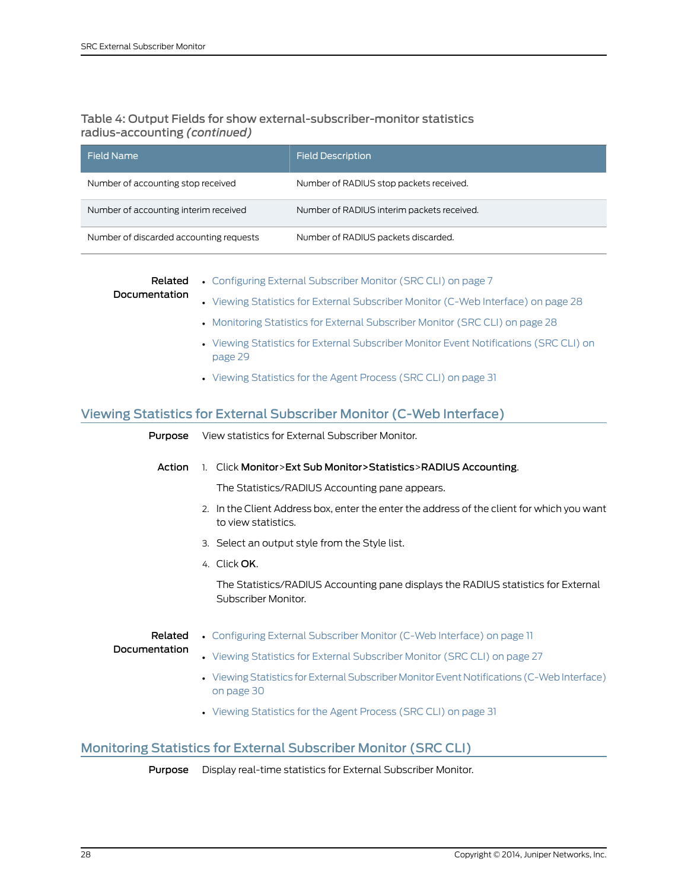# Table 4: Output Fields for show external-subscriber-monitor statistics radius-accounting *(continued)*

| Field Name                              | <b>Field Description</b>                   |
|-----------------------------------------|--------------------------------------------|
| Number of accounting stop received      | Number of RADIUS stop packets received.    |
| Number of accounting interim received   | Number of RADIUS interim packets received. |
| Number of discarded accounting requests | Number of RADIUS packets discarded.        |

| Documentation | <b>Related</b> • Configuring External Subscriber Monitor (SRC CLI) on page 7      |
|---------------|-----------------------------------------------------------------------------------|
|               | • Viewing Statistics for External Subscriber Monitor (C-Web Interface) on page 28 |
|               | • Monitoring Statistics for External Subscriber Monitor (SRC CLI) on page 28      |

- Viewing Statistics for External Subscriber Monitor Event [Notifications](#page-40-0) (SRC CLI) on [page](#page-40-0) 29
- Viewing [Statistics](#page-42-0) for the Agent Process (SRC CLI) on page 31

# <span id="page-39-0"></span>Viewing Statistics for External Subscriber Monitor (C-Web Interface)

| Purpose       | View statistics for External Subscriber Monitor.                                                                  |
|---------------|-------------------------------------------------------------------------------------------------------------------|
| Action        | 1. Click Monitor>Ext Sub Monitor>Statistics>RADIUS Accounting.                                                    |
|               | The Statistics/RADIUS Accounting pane appears.                                                                    |
|               | 2. In the Client Address box, enter the enter the address of the client for which you want<br>to view statistics. |
|               | 3. Select an output style from the Style list.                                                                    |
|               | 4. Click OK.                                                                                                      |
|               | The Statistics/RADIUS Accounting pane displays the RADIUS statistics for External<br>Subscriber Monitor.          |
| Related       | • Configuring External Subscriber Monitor (C-Web Interface) on page 11                                            |
| Documentation | • Viewing Statistics for External Subscriber Monitor (SRC CLI) on page 27                                         |
|               | • Viewing Statistics for External Subscriber Monitor Event Notifications (C-Web Interface)<br>on page 30          |
|               | • Viewing Statistics for the Agent Process (SRC CLI) on page 31                                                   |

# <span id="page-39-1"></span>Monitoring Statistics for External Subscriber Monitor (SRC CLI)

<span id="page-39-2"></span>Purpose Display real-time statistics for External Subscriber Monitor.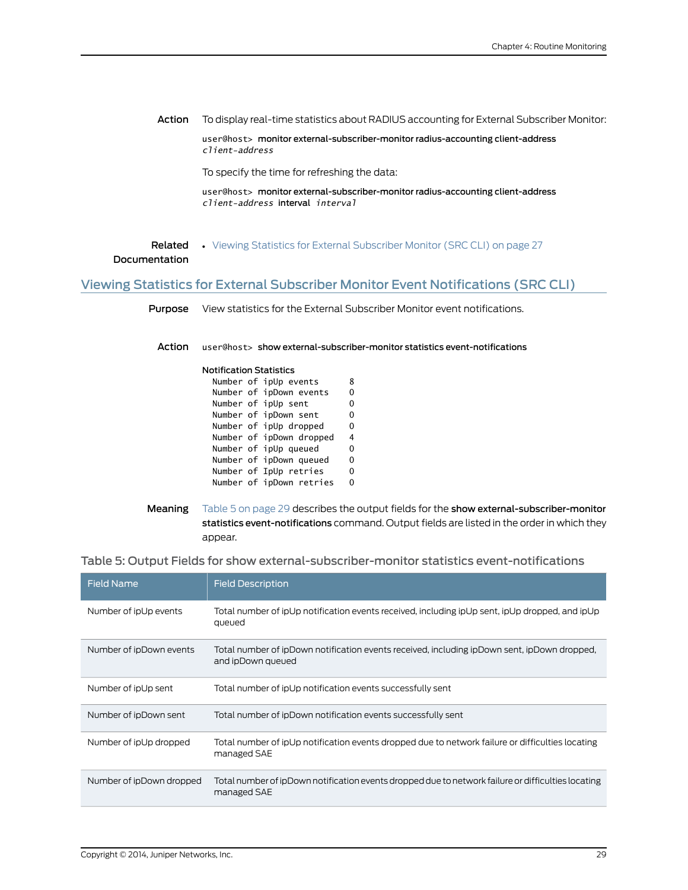Action To display real-time statistics about RADIUS accounting for External Subscriber Monitor:

user@host> monitor external-subscriber-monitor radius-accounting client-address *client-address*

To specify the time for refreshing the data:

user@host> monitor external-subscriber-monitor radius-accounting client-address *client-address* interval *interval*

**Related •** Viewing Statistics for External [Subscriber](#page-38-1) Monitor (SRC CLI) on page 27

### Documentation

# <span id="page-40-0"></span>Viewing Statistics for External Subscriber Monitor Event Notifications (SRC CLI)

<span id="page-40-2"></span>Purpose View statistics for the External Subscriber Monitor event notifications.

Action user@host> show external-subscriber-monitor statistics event-notifications

| <b>Notification Statistics</b> |  |   |
|--------------------------------|--|---|
| Number of ipUp events          |  | 8 |
| Number of ipDown events        |  | 0 |
| Number of ipUp sent            |  | 0 |
| Number of ipDown sent          |  | 0 |
| Number of ipUp dropped         |  | 0 |
| Number of ipDown dropped       |  | 4 |
| $\cdots$ $\cdots$ $\cdots$     |  |   |

Number of ipUp queued 0 Number of ipDown queued 0 Number of IpUp retries 0 Number of ipDown retries 0

#### Table 5: Output Fields for show external-subscriber-monitor statistics event-notifications

| <b>Field Name</b>        | <b>Field Description</b>                                                                                          |
|--------------------------|-------------------------------------------------------------------------------------------------------------------|
| Number of ipUp events    | Total number of ipUp notification events received, including ipUp sent, ipUp dropped, and ipUp<br>queued          |
| Number of ipDown events  | Total number of ipDown notification events received, including ipDown sent, ipDown dropped,<br>and ipDown queued  |
| Number of ipUp sent      | Total number of ipUp notification events successfully sent                                                        |
| Number of ipDown sent    | Total number of ipDown notification events successfully sent                                                      |
| Number of ipUp dropped   | Total number of ipUp notification events dropped due to network failure or difficulties locating<br>managed SAE   |
| Number of ipDown dropped | Total number of ipDown notification events dropped due to network failure or difficulties locating<br>managed SAE |

<span id="page-40-1"></span>Meaning [Table](#page-40-1) 5 on page 29 describes the output fields for the show external-subscriber-monitor statistics event-notifications command. Output fields are listed in the order in which they appear.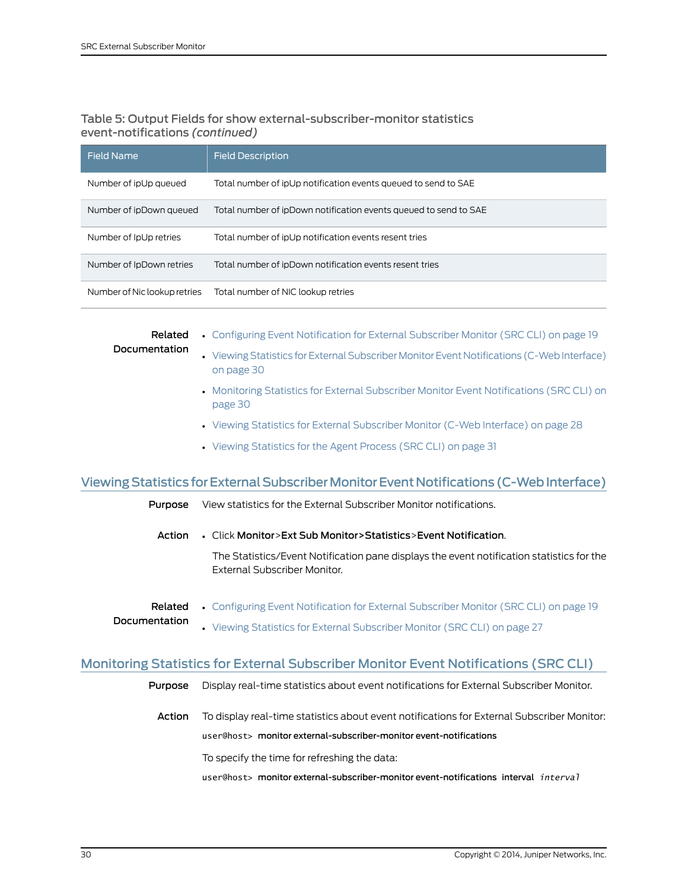## Table 5: Output Fields for show external-subscriber-monitor statistics event-notifications *(continued)*

| Field Name                   | <b>Field Description</b>                                         |
|------------------------------|------------------------------------------------------------------|
| Number of ipUp queued        | Total number of ipUp notification events queued to send to SAE   |
| Number of ipDown queued      | Total number of ipDown notification events queued to send to SAE |
| Number of IpUp retries       | Total number of ipUp notification events resent tries            |
| Number of IpDown retries     | Total number of ipDown notification events resent tries          |
| Number of Nic lookup retries | Total number of NIC lookup retries                               |

Related

- Documentation
- Configuring Event [Notification](#page-30-1) for External Subscriber Monitor (SRC CLI) on page 19
- Viewing Statistics for External Subscriber Monitor Event Notifications (C-Web Interface) on [page](#page-41-0) 30
- Monitoring Statistics for External Subscriber Monitor Event [Notifications](#page-41-1) (SRC CLI) on [page](#page-41-1) 30
- Viewing Statistics for External [Subscriber](#page-39-0) Monitor (C-Web Interface) on page 28
- Viewing [Statistics](#page-42-0) for the Agent Process (SRC CLI) on page 31

# <span id="page-41-0"></span>Viewing Statistics for External Subscriber Monitor Event Notifications (C-Web Interface)

- Purpose View statistics for the External Subscriber Monitor notifications.
	- Action Click Monitor>Ext Sub Monitor>Statistics>Event Notification.

The Statistics/Event Notification pane displays the event notification statistics for the External Subscriber Monitor.

- <span id="page-41-1"></span>Related • Configuring Event [Notification](#page-30-1) for External Subscriber Monitor (SRC CLI) on page 19 Documentation
	- Viewing Statistics for External [Subscriber](#page-38-1) Monitor (SRC CLI) on page 27

# Monitoring Statistics for External Subscriber Monitor Event Notifications (SRC CLI)

- <span id="page-41-2"></span>Purpose Display real-time statistics about event notifications for External Subscriber Monitor.
	- Action To display real-time statistics about event notifications for External Subscriber Monitor: user@host> monitor external-subscriber-monitor event-notifications

To specify the time for refreshing the data:

user@host> monitor external-subscriber-monitor event-notifications interval *interval*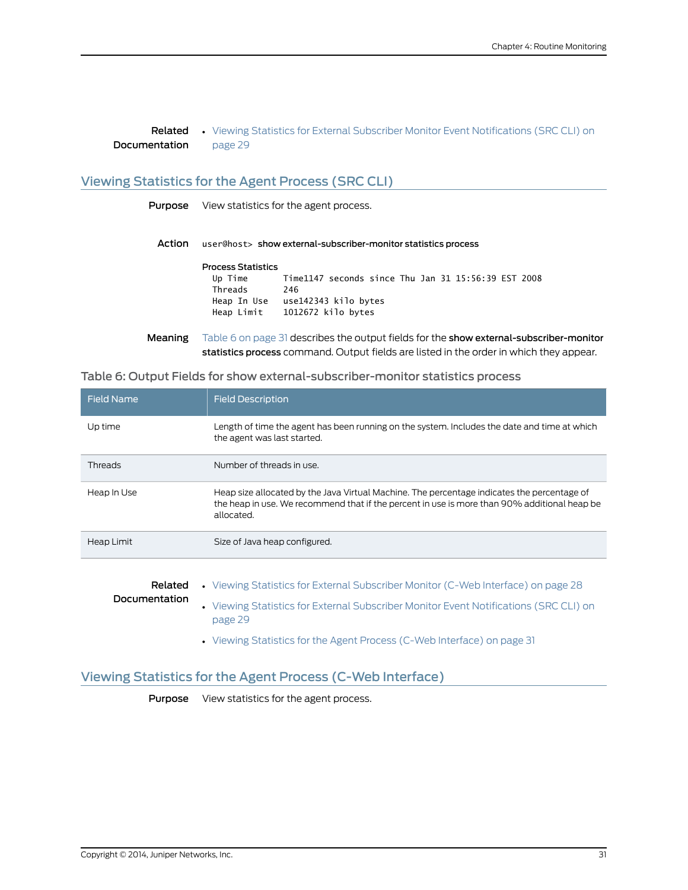**Related •** Viewing Statistics for External Subscriber Monitor Event [Notifications](#page-40-0) (SRC CLI) on Documentation [page](#page-40-0) 29

## <span id="page-42-0"></span>Viewing Statistics for the Agent Process (SRC CLI)

<span id="page-42-3"></span>Purpose View statistics for the agent process.

Action user@host> show external-subscriber-monitor statistics process

### Process Statistics Up Time Time1147 seconds since Thu Jan 31 15:56:39 EST 2008 Threads 246 Heap In Use use142343 kilo bytes Heap Limit 1012672 kilo bytes

<span id="page-42-2"></span>Meaning [Table](#page-42-2) 6 on page 31 describes the output fields for the show external-subscriber-monitor statistics process command. Output fields are listed in the order in which they appear.

### Table 6: Output Fields for show external-subscriber-monitor statistics process

| <b>Field Name</b>                                                                                                                                                                                                        | <b>Field Description</b>                                                                                                    |  |  |
|--------------------------------------------------------------------------------------------------------------------------------------------------------------------------------------------------------------------------|-----------------------------------------------------------------------------------------------------------------------------|--|--|
| Up time                                                                                                                                                                                                                  | Length of time the agent has been running on the system. Includes the date and time at which<br>the agent was last started. |  |  |
| <b>Threads</b>                                                                                                                                                                                                           | Number of threads in use.                                                                                                   |  |  |
| Heap In Use<br>Heap size allocated by the Java Virtual Machine. The percentage indicates the percentage of<br>the heap in use. We recommend that if the percent in use is more than 90% additional heap be<br>allocated. |                                                                                                                             |  |  |
| Heap Limit                                                                                                                                                                                                               | Size of Java heap configured.                                                                                               |  |  |
|                                                                                                                                                                                                                          |                                                                                                                             |  |  |
| Related                                                                                                                                                                                                                  | • Viewing Statistics for External Subscriber Monitor (C-Web Interface) on page 28                                           |  |  |
| Documentation                                                                                                                                                                                                            | • Viewing Statistics for External Subscriber Monitor Event Notifications (SRC CLI) on<br>page 29                            |  |  |

• Viewing Statistics for the Agent Process (C-Web [Interface\)](#page-42-1) on page 31

## <span id="page-42-1"></span>Viewing Statistics for the Agent Process (C-Web Interface)

Purpose View statistics for the agent process.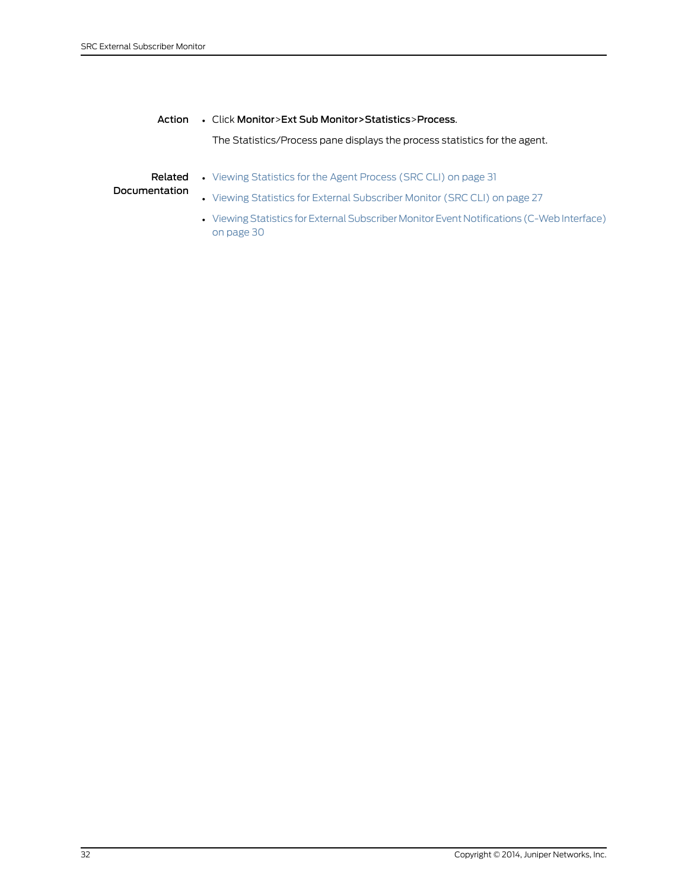### Action • Click Monitor>Ext Sub Monitor>Statistics>Process.

The Statistics/Process pane displays the process statistics for the agent.

#### **Related •** Viewing [Statistics](#page-42-0) for the Agent Process (SRC CLI) on page 31

- Documentation • Viewing Statistics for External [Subscriber](#page-38-1) Monitor (SRC CLI) on page 27
	- Viewing Statistics for External Subscriber Monitor Event Notifications (C-Web Interface) on [page](#page-41-0) 30

### 32 Copyright © 2014, Juniper Networks, Inc.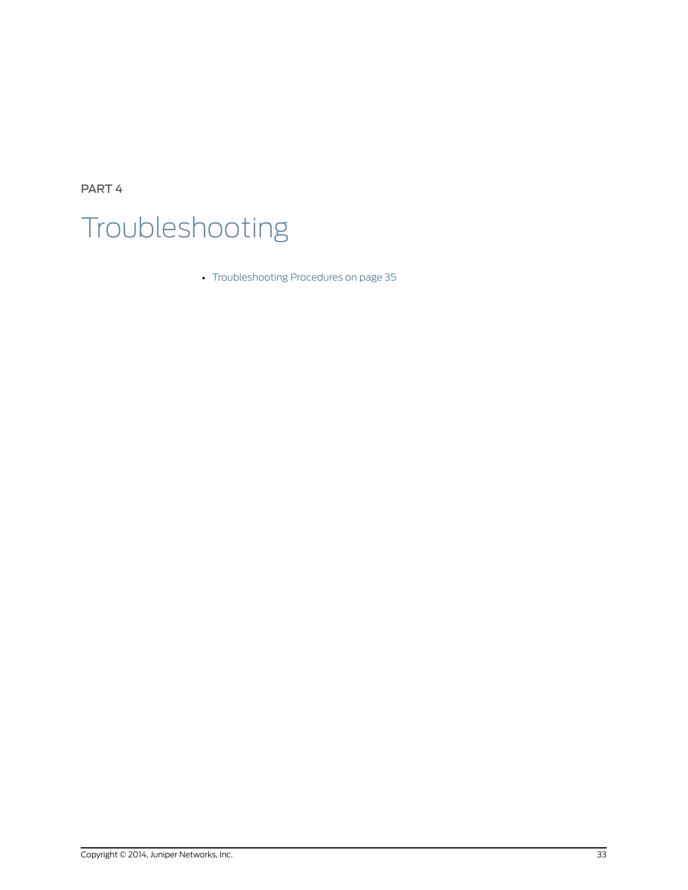<span id="page-44-0"></span>PART 4 Troubleshooting

• [Troubleshooting](#page-46-0) Procedures on [page](#page-46-0) 35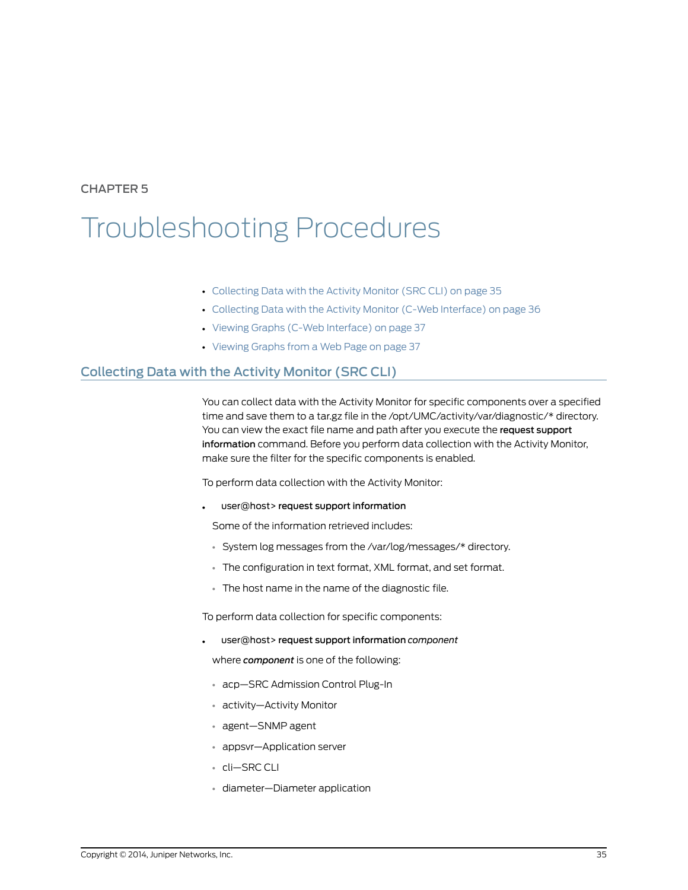# <span id="page-46-0"></span>CHAPTER 5

# Troubleshooting Procedures

- [Collecting](#page-46-1) Data with the Activity Monitor (SRC CLI) on [page](#page-46-1) 35
- [Collecting](#page-47-0) Data with the Activity Monitor (C-Web Interface) on [page](#page-47-0) 36
- Viewing Graphs (C-Web [Interface\)](#page-48-0) on [page](#page-48-0) 37
- <span id="page-46-2"></span>• [Viewing](#page-48-1) Graphs from a Web Page on [page](#page-48-1) 37

# <span id="page-46-1"></span>Collecting Data with the Activity Monitor (SRC CLI)

You can collect data with the Activity Monitor for specific components over a specified time and save them to a tar.gz file in the /opt/UMC/activity/var/diagnostic/\* directory. You can view the exact file name and path after you execute the request support information command. Before you perform data collection with the Activity Monitor, make sure the filter for the specific components is enabled.

To perform data collection with the Activity Monitor:

user@host> request support information

Some of the information retrieved includes:

- System log messages from the /var/log/messages/\* directory.
- The configuration in text format, XML format, and set format.
- The host name in the name of the diagnostic file.

To perform data collection for specific components:

• user@host> request support information *component*

where *component* is one of the following:

- acp—SRC Admission Control Plug-In
- activity—Activity Monitor
- agent—SNMP agent
- appsvr—Application server
- cli—SRC CLI
- diameter—Diameter application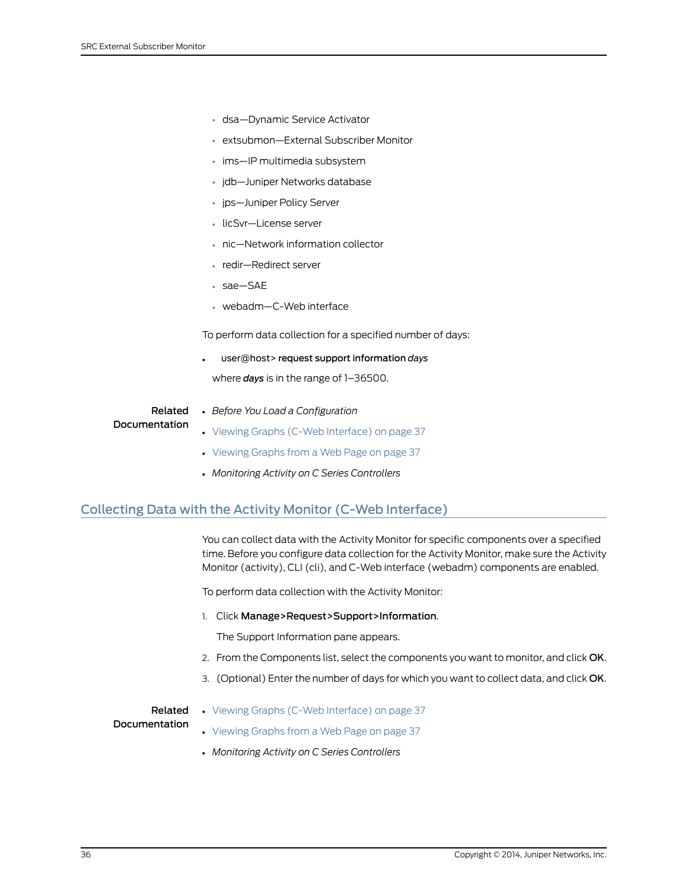- dsa—Dynamic Service Activator
- extsubmon—External Subscriber Monitor
- ims—IP multimedia subsystem
- jdb—Juniper Networks database
- jps—Juniper Policy Server
- licSvr—License server
- nic—Network information collector
- redir—Redirect server
- sae—SAE
- webadm—C-Web interface

To perform data collection for a specified number of days:

• user@host> request support information *days*

where *days* is in the range of 1–36500.

Related **Documentation** 

- *Before You Load a Configuration*
- Viewing Graphs (C-Web [Interface\)](#page-48-0) on page 37
	- [Viewing](#page-48-1) Graphs from a Web Page on page 37
	-
	- *Monitoring Activity on C Series Controllers*

## <span id="page-47-0"></span>Collecting Data with the Activity Monitor (C-Web Interface)

<span id="page-47-1"></span>You can collect data with the Activity Monitor for specific components over a specified time. Before you configure data collection for the Activity Monitor, make sure the Activity Monitor (activity), CLI (cli), and C-Web interface (webadm) components are enabled.

To perform data collection with the Activity Monitor:

1. Click Manage>Request>Support>Information.

The Support Information pane appears.

- 2. From the Components list, select the components you want to monitor, and click OK.
- 3. (Optional) Enter the number of days for which you want to collect data, and click OK.

# Related

• Viewing Graphs (C-Web [Interface\)](#page-48-0) on page 37

### Documentation

- [Viewing](#page-48-1) Graphs from a Web Page on page 37
- *Monitoring Activity on C Series Controllers*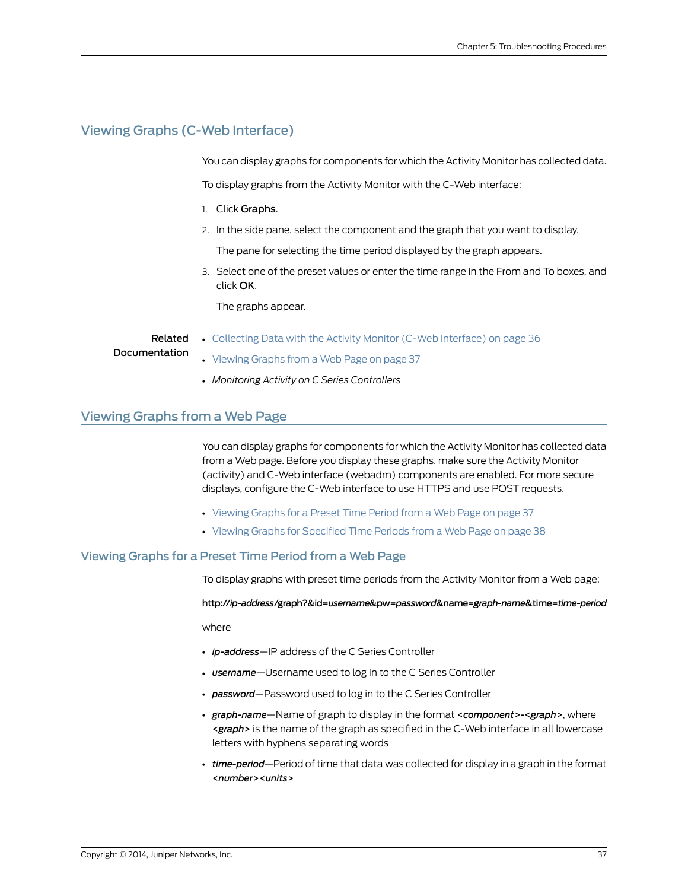# <span id="page-48-0"></span>Viewing Graphs (C-Web Interface)

<span id="page-48-3"></span>You can display graphs for components for which the Activity Monitor has collected data.

To display graphs from the Activity Monitor with the C-Web interface:

- 1. Click Graphs.
- 2. In the side pane, select the component and the graph that you want to display.

The pane for selecting the time period displayed by the graph appears.

• [Collecting](#page-47-0) Data with the Activity Monitor (C-Web Interface) on page 36

3. Select one of the preset values or enter the time range in the From and To boxes, and click OK.

The graphs appear.

### Related Documentation

- [Viewing](#page-48-1) Graphs from a Web Page on page 37
- *Monitoring Activity on C Series Controllers*

### <span id="page-48-1"></span>Viewing Graphs from a Web Page

You can display graphs for components for which the Activity Monitor has collected data from a Web page. Before you display these graphs, make sure the Activity Monitor (activity) and C-Web interface (webadm) components are enabled. For more secure displays, configure the C-Web interface to use HTTPS and use POST requests.

- [Viewing](#page-48-2) Graphs for a Preset Time Period from a Web Page on [page](#page-48-2) 37
- Viewing Graphs for [Specified](#page-49-0) Time Periods from a Web Page on [page](#page-49-0) 38

### <span id="page-48-2"></span>Viewing Graphs for a Preset Time Period from a Web Page

To display graphs with preset time periods from the Activity Monitor from a Web page:

http://*ip-address*/graph?&id=*username*&pw=*password*&name=*graph-name*&time=*time-period*

where

- *ip-address*—IP address of the C Series Controller
- *username*—Username used to log in to the C Series Controller
- *password*—Password used to log in to the C Series Controller
- *graph-name*—Name of graph to display in the format <*component*>-<*graph*>, where <*graph*> is the name of the graph as specified in the C-Web interface in all lowercase letters with hyphens separating words
- *time-period*—Period of time that data was collected for display in a graph in the format <*number*><*units*>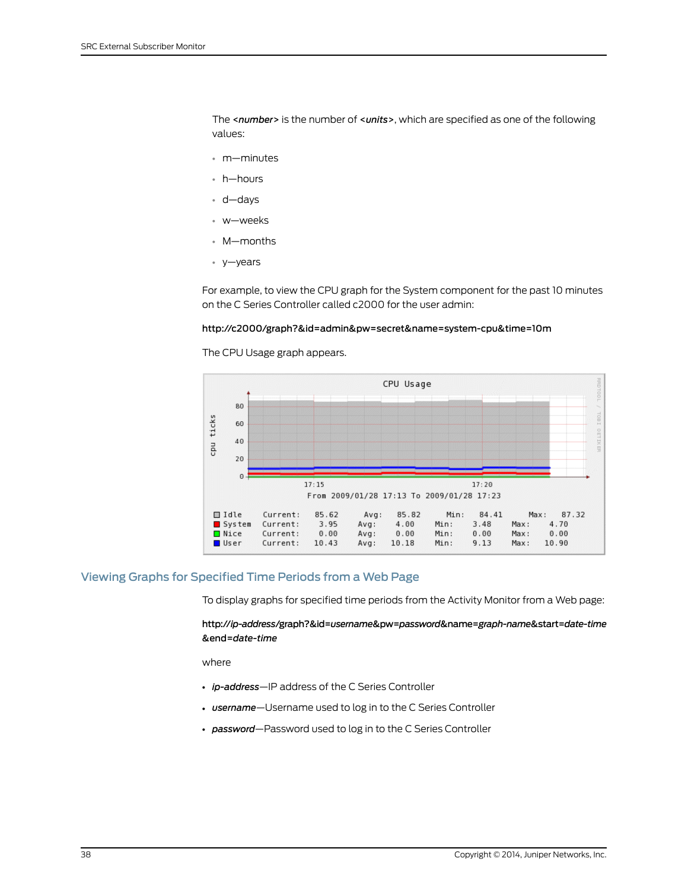The <*number*> is the number of <*units*>, which are specified as one of the following values:

- m—minutes
- h—hours
- d—days
- w—weeks
- M—months
- y—years

For example, to view the CPU graph for the System component for the past 10 minutes on the C Series Controller called c2000 for the user admin:

### http://c2000/graph?&id=admin&pw=secret&name=system-cpu&time=10m

The CPU Usage graph appears.



### <span id="page-49-0"></span>Viewing Graphs for Specified Time Periods from a Web Page

To display graphs for specified time periods from the Activity Monitor from a Web page:

http://*ip-address*/graph?&id=*username*&pw=*password*&name=*graph-name*&start=*date-time* &end=*date-time*

where

- *ip-address*—IP address of the C Series Controller
- *username*—Username used to log in to the C Series Controller
- *password*—Password used to log in to the C Series Controller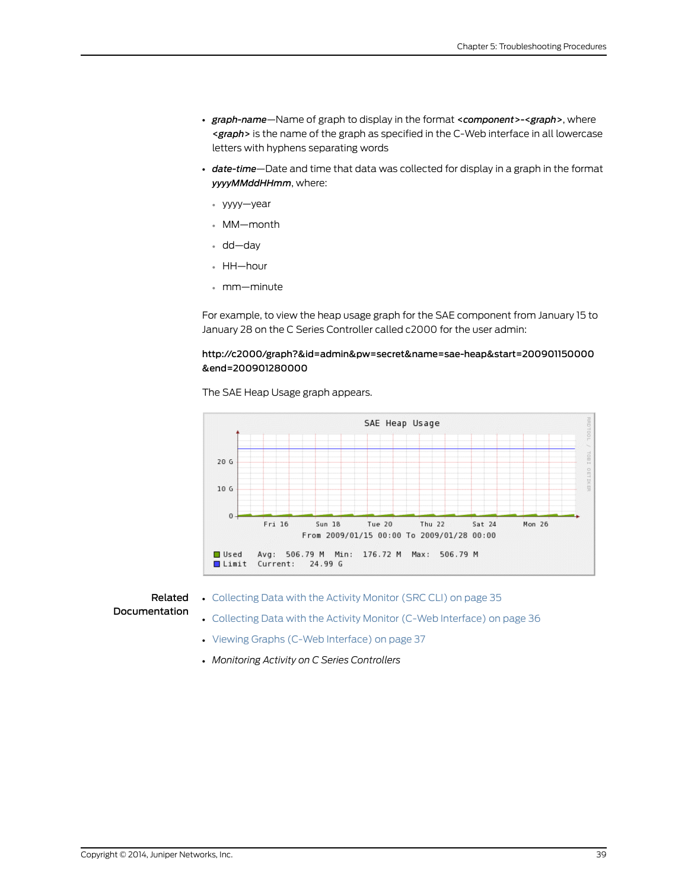- *graph-name*—Name of graph to display in the format <*component*>-<*graph*>, where <*graph*> is the name of the graph as specified in the C-Web interface in all lowercase letters with hyphens separating words
- *date-time*—Date and time that data was collected for display in a graph in the format *yyyyMMddHHmm*, where:
	- yyyy—year
	- MM—month
	- dd—day
	- HH—hour
	- mm—minute

For example, to view the heap usage graph for the SAE component from January 15 to January 28 on the C Series Controller called c2000 for the user admin:

### http://c2000/graph?&id=admin&pw=secret&name=sae-heap&start=200901150000 &end=200901280000

The SAE Heap Usage graph appears.



Related Documentation

- [Collecting](#page-46-1) Data with the Activity Monitor (SRC CLI) on page 35
- [Collecting](#page-47-0) Data with the Activity Monitor (C-Web Interface) on page 36
- Viewing Graphs (C-Web [Interface\)](#page-48-0) on page 37
- *Monitoring Activity on C Series Controllers*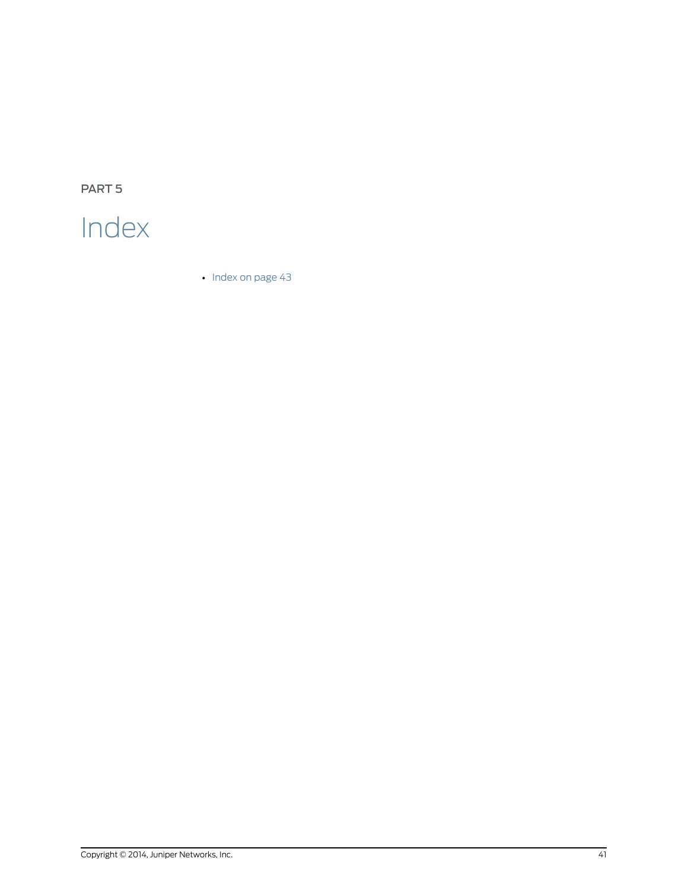<span id="page-52-0"></span>PART 5

# Index

• [Index](#page-54-0) on [page](#page-54-0) 43